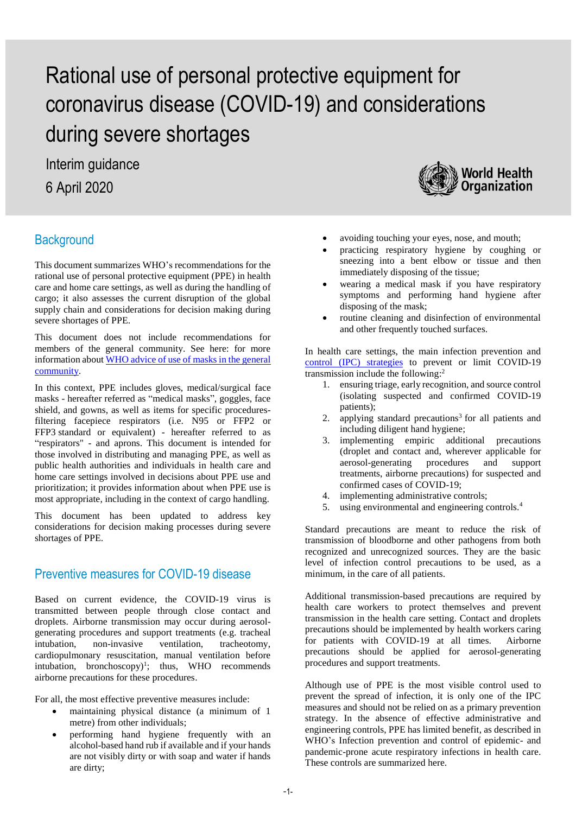Interim guidance 6 April 2020

# **Background**

This document summarizes WHO's recommendations for the rational use of personal protective equipment (PPE) in health care and home care settings, as well as during the handling of cargo; it also assesses the current disruption of the global supply chain and considerations for decision making during severe shortages of PPE.

This document does not include recommendations for members of the general community. See here: for more information abou[t WHO advice of use of masks in the general](https://www.who.int/publications-detail/advice-on-the-use-of-masks-in-the-community-during-home-care-and-in-healthcare-settings-in-the-context-of-the-novel-coronavirus-(2019-ncov)-outbreak)  [community.](https://www.who.int/publications-detail/advice-on-the-use-of-masks-in-the-community-during-home-care-and-in-healthcare-settings-in-the-context-of-the-novel-coronavirus-(2019-ncov)-outbreak)

In this context, PPE includes gloves, medical/surgical face masks - hereafter referred as "medical masks", goggles, face shield, and gowns, as well as items for specific proceduresfiltering facepiece respirators (i.e. N95 or FFP2 or FFP3 standard or equivalent) - hereafter referred to as "respirators" - and aprons. This document is intended for those involved in distributing and managing PPE, as well as public health authorities and individuals in health care and home care settings involved in decisions about PPE use and prioritization; it provides information about when PPE use is most appropriate, including in the context of cargo handling.

This document has been updated to address key considerations for decision making processes during severe shortages of PPE.

# Preventive measures for COVID-19 disease

Based on current evidence, the COVID-19 virus is transmitted between people through close contact and droplets. Airborne transmission may occur during aerosolgenerating procedures and support treatments (e.g. tracheal intubation, non-invasive ventilation, tracheotomy, cardiopulmonary resuscitation, manual ventilation before intubation, bronchoscopy $]$ <sup>1</sup>; thus, WHO recommends airborne precautions for these procedures.

For all, the most effective preventive measures include:

- maintaining physical distance (a minimum of 1 metre) from other individuals;
- performing hand hygiene frequently with an alcohol-based hand rub if available and if your hands are not visibly dirty or with soap and water if hands are dirty;



- avoiding touching your eyes, nose, and mouth;
- practicing respiratory hygiene by coughing or sneezing into a bent elbow or tissue and then immediately disposing of the tissue;
- wearing a medical mask if you have respiratory symptoms and performing hand hygiene after disposing of the mask;
- routine cleaning and disinfection of environmental and other frequently touched surfaces.

In health care settings, the main infection prevention and [control \(IPC\)](https://www.who.int/publications-detail/infection-prevention-and-control-during-health-care-when-novel-coronavirus-(ncov)-infection-is-suspected-20200125) strategies to prevent or limit COVID-19 transmission include the following: 2

- 1. ensuring triage, early recognition, and source control (isolating suspected and confirmed COVID-19 patients);
- 2. applying standard precautions<sup>3</sup> for all patients and including diligent hand hygiene;
- 3. implementing empiric additional precautions (droplet and contact and, wherever applicable for aerosol-generating procedures and support treatments, airborne precautions) for suspected and confirmed cases of COVID-19;
- 4. implementing administrative controls;
- 5. using environmental and engineering controls.<sup>4</sup>

Standard precautions are meant to reduce the risk of transmission of bloodborne and other pathogens from both recognized and unrecognized sources. They are the basic level of infection control precautions to be used, as a minimum, in the care of all patients.

Additional transmission-based precautions are required by health care workers to protect themselves and prevent transmission in the health care setting. Contact and droplets precautions should be implemented by health workers caring for patients with COVID-19 at all times. Airborne precautions should be applied for aerosol-generating procedures and support treatments.

Although use of PPE is the most visible control used to prevent the spread of infection, it is only one of the IPC measures and should not be relied on as a primary prevention strategy. In the absence of effective administrative and engineering controls, PPE has limited benefit, as described in WHO's Infection prevention and control of epidemic- and pandemic-prone acute respiratory infections in health care. These controls are summarized here.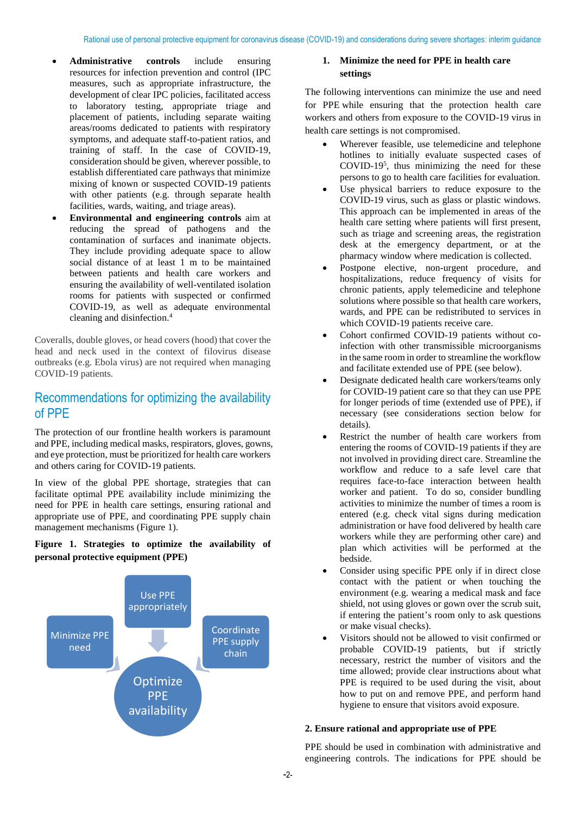- **Administrative controls** include ensuring resources for infection prevention and control (IPC measures, such as appropriate infrastructure, the development of clear IPC policies, facilitated access to laboratory testing, appropriate triage and placement of patients, including separate waiting areas/rooms dedicated to patients with respiratory symptoms, and adequate staff-to-patient ratios, and training of staff. In the case of COVID-19, consideration should be given, wherever possible, to establish differentiated care pathways that minimize mixing of known or suspected COVID-19 patients with other patients (e.g. through separate health facilities, wards, waiting, and triage areas).
- **Environmental and engineering controls** aim at reducing the spread of pathogens and the contamination of surfaces and inanimate objects. They include providing adequate space to allow social distance of at least 1 m to be maintained between patients and health care workers and ensuring the availability of well-ventilated isolation rooms for patients with suspected or confirmed COVID-19, as well as adequate environmental cleaning and disinfection. 4

Coveralls, double gloves, or head covers (hood) that cover the head and neck used in the context of filovirus disease outbreaks (e.g. Ebola virus) are not required when managing COVID-19 patients.

# Recommendations for optimizing the availability of PPE

The protection of our frontline health workers is paramount and PPE, including medical masks, respirators, gloves, gowns, and eye protection, must be prioritized for health care workers and others caring for COVID-19 patients.

In view of the global PPE shortage, strategies that can facilitate optimal PPE availability include minimizing the need for PPE in health care settings, ensuring rational and appropriate use of PPE, and coordinating PPE supply chain management mechanisms (Figure 1).

#### **Figure 1. Strategies to optimize the availability of personal protective equipment (PPE)**



#### **1. Minimize the need for PPE in health care settings**

The following interventions can minimize the use and need for PPE while ensuring that the protection health care workers and others from exposure to the COVID-19 virus in health care settings is not compromised.

- Wherever feasible, use telemedicine and telephone hotlines to initially evaluate suspected cases of COVID-19<sup>5</sup> , thus minimizing the need for these persons to go to health care facilities for evaluation.
- Use physical barriers to reduce exposure to the COVID-19 virus, such as glass or plastic windows. This approach can be implemented in areas of the health care setting where patients will first present, such as triage and screening areas, the registration desk at the emergency department, or at the pharmacy window where medication is collected.
- Postpone elective, non-urgent procedure, and hospitalizations, reduce frequency of visits for chronic patients, apply telemedicine and telephone solutions where possible so that health care workers, wards, and PPE can be redistributed to services in which COVID-19 patients receive care.
- Cohort confirmed COVID-19 patients without coinfection with other transmissible microorganisms in the same room in order to streamline the workflow and facilitate extended use of PPE (see below).
- Designate dedicated health care workers/teams only for COVID-19 patient care so that they can use PPE for longer periods of time (extended use of PPE), if necessary (see considerations section below for details).
- Restrict the number of health care workers from entering the rooms of COVID-19 patients if they are not involved in providing direct care. Streamline the workflow and reduce to a safe level care that requires face-to-face interaction between health worker and patient. To do so, consider bundling activities to minimize the number of times a room is entered (e.g. check vital signs during medication administration or have food delivered by health care workers while they are performing other care) and plan which activities will be performed at the bedside.
- Consider using specific PPE only if in direct close contact with the patient or when touching the environment (e.g. wearing a medical mask and face shield, not using gloves or gown over the scrub suit, if entering the patient's room only to ask questions or make visual checks).
- Visitors should not be allowed to visit confirmed or probable COVID-19 patients, but if strictly necessary, restrict the number of visitors and the time allowed; provide clear instructions about what PPE is required to be used during the visit, about [how to put on and remove PPE,](https://www.who.int/csr/resources/publications/putontakeoffPPE/en/) and perform hand hygiene to ensure that visitors avoid exposure.

#### **2. Ensure rational and appropriate use of PPE**

PPE should be used in combination with administrative and engineering controls. The indications for PPE should be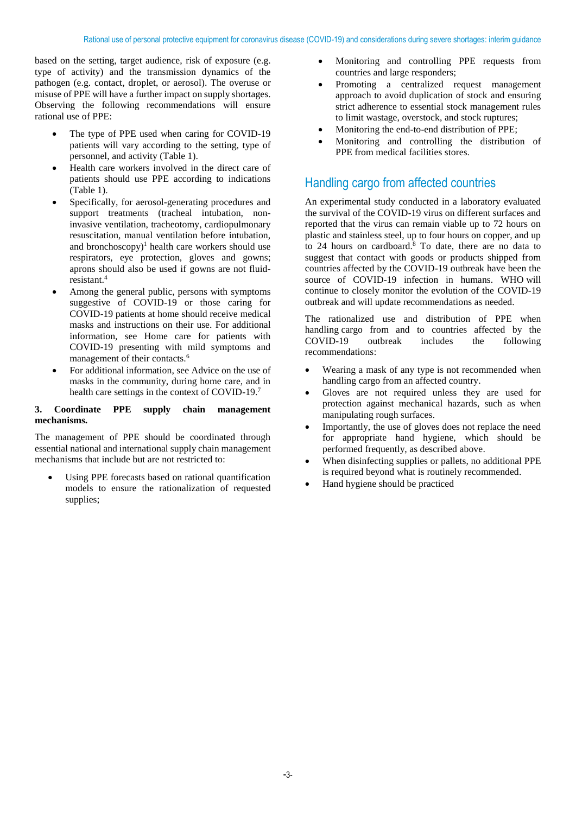based on the setting, target audience, risk of exposure (e.g. type of activity) and the transmission dynamics of the pathogen (e.g. contact, droplet, or aerosol). The overuse or misuse of PPE will have a further impact on supply shortages. Observing the following recommendations will ensure rational use of PPE:

- The type of PPE used when caring for COVID-19 patients will vary according to the setting, type of personnel, and activity (Table 1).
- Health care workers involved in the direct care of patients should use PPE according to indications (Table 1).
- Specifically, for aerosol-generating procedures and support treatments (tracheal intubation, noninvasive ventilation, tracheotomy, cardiopulmonary resuscitation, manual ventilation before intubation, and bronchoscopy) <sup>1</sup> health care workers should use respirators, eye protection, gloves and gowns; aprons should also be used if gowns are not fluidresistant. 4
- Among the general public, persons with symptoms suggestive of COVID-19 or those caring for COVID-19 patients at home should receive medical masks and instructions on their use. For additional information, see Home care for patients with COVID-19 presenting with mild symptoms and management of their contacts.<sup>6</sup>
- For additional information, see Advice on the use of masks in the community, during home care, and in health care settings in the context of COVID-19.<sup>7</sup>

#### **3. Coordinate PPE supply chain management mechanisms.**

The management of PPE should be coordinated through essential national and international supply chain management mechanisms that include but are not restricted to:

Using PPE forecasts based on rational quantification models to ensure the rationalization of requested supplies;

- Monitoring and controlling PPE requests from countries and large responders;
- Promoting a centralized request management approach to avoid duplication of stock and ensuring strict adherence to essential stock management rules to limit wastage, overstock, and stock ruptures;
- Monitoring the end-to-end distribution of PPE;
- Monitoring and controlling the distribution of PPE from medical facilities stores.

# Handling cargo from affected countries

An experimental study conducted in a laboratory evaluated the survival of the COVID-19 virus on different surfaces and reported that the virus can remain viable up to 72 hours on plastic and stainless steel, up to four hours on copper, and up to 24 hours on cardboard. <sup>8</sup> To date, there are no data to suggest that contact with goods or products shipped from countries affected by the COVID-19 outbreak have been the source of COVID-19 infection in humans. WHO will continue to closely monitor the evolution of the COVID-19 outbreak and will update recommendations as needed.

The rationalized use and distribution of PPE when handling cargo from and to countries affected by the COVID-19 outbreak includes the following recommendations:

- Wearing a mask of any type is not recommended when handling cargo from an affected country.
- Gloves are not required unless they are used for protection against mechanical hazards, such as when manipulating rough surfaces.
- Importantly, the use of gloves does not replace the need for appropriate hand hygiene, which should be performed frequently, as described above.
- When disinfecting supplies or pallets, no additional PPE is required beyond what is routinely recommended.
- Hand hygiene should be practiced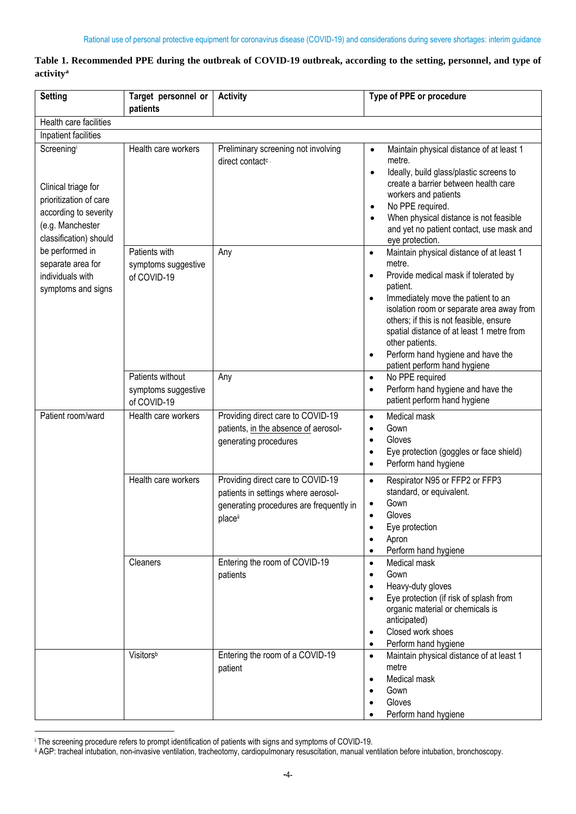#### **Table 1. Recommended PPE during the outbreak of COVID-19 outbreak, according to the setting, personnel, and type of activity<sup>a</sup>**

| <b>Setting</b>                                                                                                                     | Target personnel or<br>patients                        | <b>Activity</b>                                                                                                               | Type of PPE or procedure                                                                                                                                                                                                                                                                                                                                                                                                      |
|------------------------------------------------------------------------------------------------------------------------------------|--------------------------------------------------------|-------------------------------------------------------------------------------------------------------------------------------|-------------------------------------------------------------------------------------------------------------------------------------------------------------------------------------------------------------------------------------------------------------------------------------------------------------------------------------------------------------------------------------------------------------------------------|
| Health care facilities                                                                                                             |                                                        |                                                                                                                               |                                                                                                                                                                                                                                                                                                                                                                                                                               |
| Inpatient facilities                                                                                                               |                                                        |                                                                                                                               |                                                                                                                                                                                                                                                                                                                                                                                                                               |
| Screeningi<br>Clinical triage for<br>prioritization of care<br>according to severity<br>(e.g. Manchester<br>classification) should | Health care workers                                    | Preliminary screening not involving<br>direct contact <sup>c.</sup>                                                           | Maintain physical distance of at least 1<br>$\bullet$<br>metre.<br>Ideally, build glass/plastic screens to<br>$\bullet$<br>create a barrier between health care<br>workers and patients<br>No PPE required.<br>$\bullet$<br>When physical distance is not feasible<br>$\bullet$<br>and yet no patient contact, use mask and<br>eye protection.                                                                                |
| be performed in<br>separate area for<br>individuals with<br>symptoms and signs                                                     | Patients with<br>symptoms suggestive<br>of COVID-19    | Any                                                                                                                           | Maintain physical distance of at least 1<br>$\bullet$<br>metre.<br>Provide medical mask if tolerated by<br>$\bullet$<br>patient.<br>Immediately move the patient to an<br>$\bullet$<br>isolation room or separate area away from<br>others; if this is not feasible, ensure<br>spatial distance of at least 1 metre from<br>other patients.<br>Perform hand hygiene and have the<br>$\bullet$<br>patient perform hand hygiene |
|                                                                                                                                    | Patients without<br>symptoms suggestive<br>of COVID-19 | Any                                                                                                                           | No PPE required<br>$\bullet$<br>Perform hand hygiene and have the<br>$\bullet$<br>patient perform hand hygiene                                                                                                                                                                                                                                                                                                                |
| Patient room/ward                                                                                                                  | Health care workers                                    | Providing direct care to COVID-19<br>patients, in the absence of aerosol-<br>generating procedures                            | Medical mask<br>$\bullet$<br>Gown<br>$\bullet$<br>Gloves<br>$\bullet$<br>Eye protection (goggles or face shield)<br>$\bullet$<br>Perform hand hygiene<br>$\bullet$                                                                                                                                                                                                                                                            |
|                                                                                                                                    | Health care workers                                    | Providing direct care to COVID-19<br>patients in settings where aerosol-<br>generating procedures are frequently in<br>placei | Respirator N95 or FFP2 or FFP3<br>$\bullet$<br>standard, or equivalent.<br>Gown<br>$\bullet$<br>Gloves<br>$\bullet$<br>Eye protection<br>Apron<br>Perform hand hygiene                                                                                                                                                                                                                                                        |
|                                                                                                                                    | Cleaners                                               | Entering the room of COVID-19<br>patients                                                                                     | Medical mask<br>$\bullet$<br>Gown<br>$\bullet$<br>Heavy-duty gloves<br>$\bullet$<br>Eye protection (if risk of splash from<br>$\bullet$<br>organic material or chemicals is<br>anticipated)<br>Closed work shoes<br>Perform hand hygiene<br>$\bullet$                                                                                                                                                                         |
|                                                                                                                                    | Visitorsb                                              | Entering the room of a COVID-19<br>patient                                                                                    | Maintain physical distance of at least 1<br>$\bullet$<br>metre<br>Medical mask<br>$\bullet$<br>Gown<br>$\bullet$<br>Gloves<br>Perform hand hygiene                                                                                                                                                                                                                                                                            |

**<sup>.</sup>** <sup>i</sup> The screening procedure refers to prompt identification of patients with signs and symptoms of COVID-19.

ii AGP: tracheal intubation, non-invasive ventilation, tracheotomy, cardiopulmonary resuscitation, manual ventilation before intubation, bronchoscopy.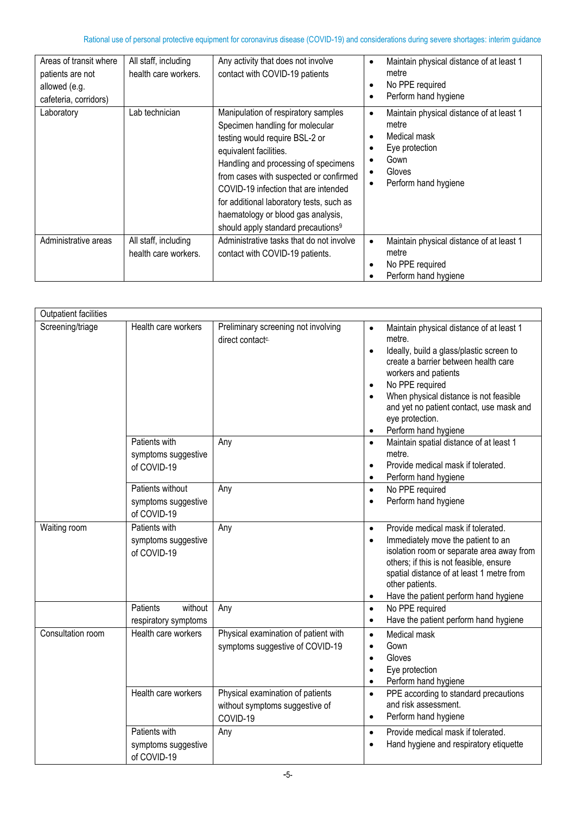| Areas of transit where<br>patients are not<br>allowed (e.g.<br>cafeteria, corridors) | All staff, including<br>health care workers. | Any activity that does not involve<br>contact with COVID-19 patients                                                                                                                                                                                                                                                                                                                             | Maintain physical distance of at least 1<br>$\bullet$<br>metre<br>No PPE required<br>٠<br>Perform hand hygiene                             |
|--------------------------------------------------------------------------------------|----------------------------------------------|--------------------------------------------------------------------------------------------------------------------------------------------------------------------------------------------------------------------------------------------------------------------------------------------------------------------------------------------------------------------------------------------------|--------------------------------------------------------------------------------------------------------------------------------------------|
| Laboratory                                                                           | Lab technician                               | Manipulation of respiratory samples<br>Specimen handling for molecular<br>testing would require BSL-2 or<br>equivalent facilities.<br>Handling and processing of specimens<br>from cases with suspected or confirmed<br>COVID-19 infection that are intended<br>for additional laboratory tests, such as<br>haematology or blood gas analysis,<br>should apply standard precautions <sup>9</sup> | Maintain physical distance of at least 1<br>$\bullet$<br>metre<br>Medical mask<br>Eye protection<br>Gown<br>Gloves<br>Perform hand hygiene |
| Administrative areas                                                                 | All staff, including<br>health care workers. | Administrative tasks that do not involve<br>contact with COVID-19 patients.                                                                                                                                                                                                                                                                                                                      | Maintain physical distance of at least 1<br>$\bullet$<br>metre<br>No PPE required<br>$\bullet$<br>Perform hand hygiene                     |

| <b>Outpatient facilities</b> |                                                        |                                                                                |                                                                                                                                                                                                                                                                                                                                                           |
|------------------------------|--------------------------------------------------------|--------------------------------------------------------------------------------|-----------------------------------------------------------------------------------------------------------------------------------------------------------------------------------------------------------------------------------------------------------------------------------------------------------------------------------------------------------|
| Screening/triage             | Health care workers                                    | Preliminary screening not involving<br>direct contact <sup>c.</sup>            | Maintain physical distance of at least 1<br>$\bullet$<br>metre.<br>Ideally, build a glass/plastic screen to<br>$\bullet$<br>create a barrier between health care<br>workers and patients<br>No PPE required<br>When physical distance is not feasible<br>and yet no patient contact, use mask and<br>eye protection.<br>Perform hand hygiene<br>$\bullet$ |
|                              | Patients with<br>symptoms suggestive<br>of COVID-19    | Any                                                                            | Maintain spatial distance of at least 1<br>$\bullet$<br>metre.<br>Provide medical mask if tolerated.<br>$\bullet$<br>Perform hand hygiene<br>$\bullet$                                                                                                                                                                                                    |
|                              | Patients without<br>symptoms suggestive<br>of COVID-19 | Any                                                                            | No PPE required<br>$\bullet$<br>Perform hand hygiene                                                                                                                                                                                                                                                                                                      |
| Waiting room                 | Patients with<br>symptoms suggestive<br>of COVID-19    | Any                                                                            | Provide medical mask if tolerated.<br>$\bullet$<br>Immediately move the patient to an<br>$\bullet$<br>isolation room or separate area away from<br>others; if this is not feasible, ensure<br>spatial distance of at least 1 metre from<br>other patients.<br>Have the patient perform hand hygiene                                                       |
|                              | without<br>Patients<br>respiratory symptoms            | Any                                                                            | No PPE required<br>$\bullet$<br>Have the patient perform hand hygiene<br>$\bullet$                                                                                                                                                                                                                                                                        |
| Consultation room            | Health care workers                                    | Physical examination of patient with<br>symptoms suggestive of COVID-19        | Medical mask<br>$\bullet$<br>Gown<br>$\bullet$<br>Gloves<br>$\bullet$<br>Eye protection<br>$\bullet$<br>Perform hand hygiene<br>$\bullet$                                                                                                                                                                                                                 |
|                              | Health care workers                                    | Physical examination of patients<br>without symptoms suggestive of<br>COVID-19 | PPE according to standard precautions<br>$\bullet$<br>and risk assessment.<br>Perform hand hygiene<br>$\bullet$                                                                                                                                                                                                                                           |
|                              | Patients with<br>symptoms suggestive<br>of COVID-19    | Any                                                                            | Provide medical mask if tolerated.<br>$\bullet$<br>Hand hygiene and respiratory etiquette<br>$\bullet$                                                                                                                                                                                                                                                    |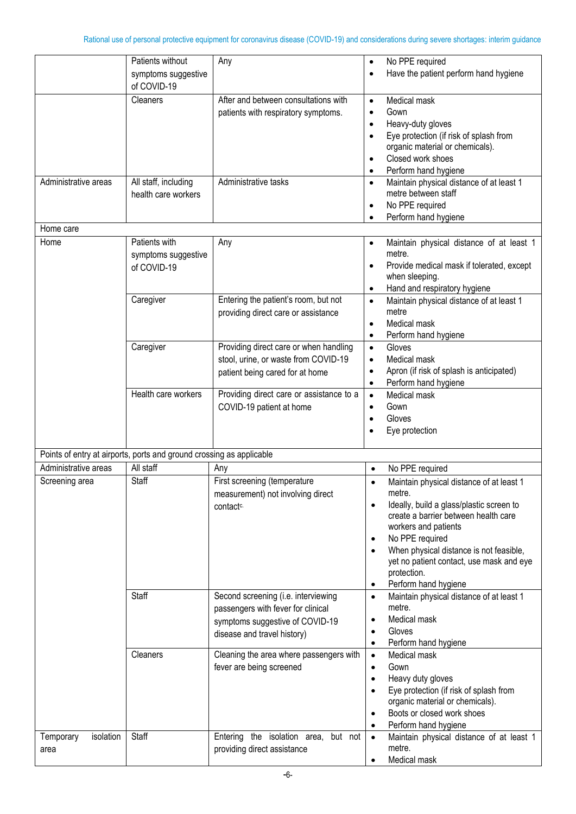|                                | Patients without                                                     | Any                                                                                                                                         | No PPE required<br>$\bullet$                                                                                                                                                                                                                                                                                                                                        |
|--------------------------------|----------------------------------------------------------------------|---------------------------------------------------------------------------------------------------------------------------------------------|---------------------------------------------------------------------------------------------------------------------------------------------------------------------------------------------------------------------------------------------------------------------------------------------------------------------------------------------------------------------|
|                                | symptoms suggestive                                                  |                                                                                                                                             | Have the patient perform hand hygiene<br>$\bullet$                                                                                                                                                                                                                                                                                                                  |
|                                | of COVID-19                                                          |                                                                                                                                             |                                                                                                                                                                                                                                                                                                                                                                     |
|                                | Cleaners                                                             | After and between consultations with<br>patients with respiratory symptoms.                                                                 | Medical mask<br>$\bullet$<br>Gown<br>$\bullet$<br>Heavy-duty gloves<br>$\bullet$<br>Eye protection (if risk of splash from<br>organic material or chemicals).<br>Closed work shoes<br>Perform hand hygiene                                                                                                                                                          |
| Administrative areas           | All staff, including<br>health care workers                          | Administrative tasks                                                                                                                        | Maintain physical distance of at least 1<br>$\bullet$<br>metre between staff<br>No PPE required<br>$\bullet$<br>Perform hand hygiene                                                                                                                                                                                                                                |
| Home care                      |                                                                      |                                                                                                                                             |                                                                                                                                                                                                                                                                                                                                                                     |
| Home                           | Patients with<br>symptoms suggestive<br>of COVID-19                  | Any                                                                                                                                         | Maintain physical distance of at least 1<br>$\bullet$<br>metre.<br>Provide medical mask if tolerated, except<br>$\bullet$<br>when sleeping.<br>Hand and respiratory hygiene<br>$\bullet$                                                                                                                                                                            |
|                                | Caregiver                                                            | Entering the patient's room, but not<br>providing direct care or assistance                                                                 | Maintain physical distance of at least 1<br>$\bullet$<br>metre<br>Medical mask<br>$\bullet$<br>Perform hand hygiene<br>$\bullet$                                                                                                                                                                                                                                    |
|                                | Caregiver                                                            | Providing direct care or when handling<br>stool, urine, or waste from COVID-19<br>patient being cared for at home                           | Gloves<br>$\bullet$<br>Medical mask<br>$\bullet$<br>Apron (if risk of splash is anticipated)<br>$\bullet$<br>Perform hand hygiene<br>$\bullet$                                                                                                                                                                                                                      |
|                                | Health care workers                                                  | Providing direct care or assistance to a<br>COVID-19 patient at home                                                                        | Medical mask<br>$\bullet$<br>Gown<br>$\bullet$<br>Gloves<br>Eye protection                                                                                                                                                                                                                                                                                          |
|                                | Points of entry at airports, ports and ground crossing as applicable |                                                                                                                                             |                                                                                                                                                                                                                                                                                                                                                                     |
| Administrative areas           | All staff                                                            | Any                                                                                                                                         | No PPE required<br>$\bullet$                                                                                                                                                                                                                                                                                                                                        |
| Screening area                 | Staff                                                                | First screening (temperature<br>measurement) not involving direct<br>contact <sup>c.</sup>                                                  | Maintain physical distance of at least 1<br>$\bullet$<br>metre.<br>Ideally, build a glass/plastic screen to<br>$\bullet$<br>create a barrier between health care<br>workers and patients<br>No PPE required<br>$\bullet$<br>When physical distance is not feasible,<br>yet no patient contact, use mask and eye<br>protection.<br>Perform hand hygiene<br>$\bullet$ |
|                                | Staff                                                                | Second screening (i.e. interviewing<br>passengers with fever for clinical<br>symptoms suggestive of COVID-19<br>disease and travel history) | Maintain physical distance of at least 1<br>$\bullet$<br>metre.<br>Medical mask<br>$\bullet$<br>Gloves<br>$\bullet$<br>Perform hand hygiene<br>$\bullet$                                                                                                                                                                                                            |
|                                | Cleaners                                                             | Cleaning the area where passengers with<br>fever are being screened                                                                         | Medical mask<br>$\bullet$<br>Gown<br>$\bullet$<br>Heavy duty gloves<br>$\bullet$<br>Eye protection (if risk of splash from<br>$\bullet$<br>organic material or chemicals).<br>Boots or closed work shoes<br>$\bullet$<br>Perform hand hygiene<br>$\bullet$                                                                                                          |
| isolation<br>Temporary<br>area | Staff                                                                | the isolation area,<br>Entering<br>but not<br>providing direct assistance                                                                   | Maintain physical distance of at least 1<br>$\bullet$<br>metre.<br>Medical mask<br>$\bullet$                                                                                                                                                                                                                                                                        |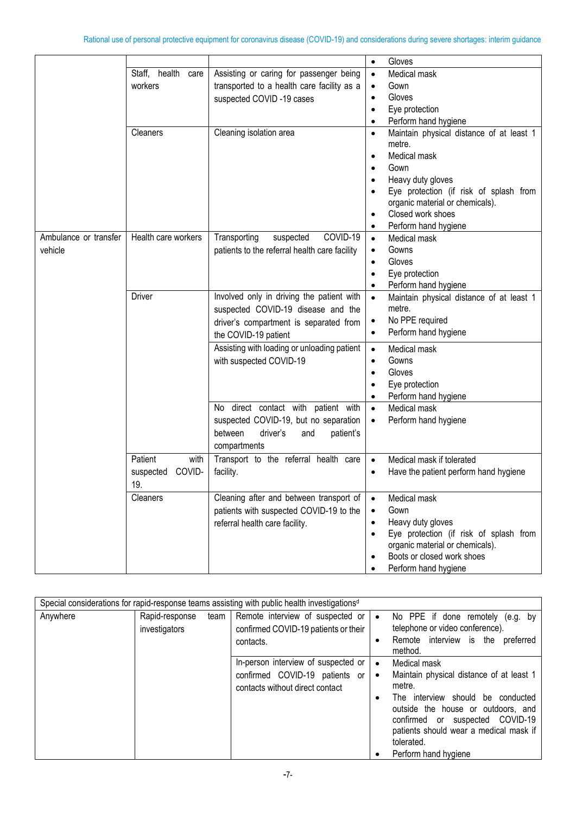|                       |                     |                                               | Gloves<br>$\bullet$                                             |
|-----------------------|---------------------|-----------------------------------------------|-----------------------------------------------------------------|
|                       | Staff, health care  | Assisting or caring for passenger being       | Medical mask<br>$\bullet$                                       |
|                       | workers             | transported to a health care facility as a    | Gown<br>$\bullet$                                               |
|                       |                     | suspected COVID-19 cases                      | Gloves<br>$\bullet$                                             |
|                       |                     |                                               | Eye protection<br>$\bullet$                                     |
|                       |                     |                                               | Perform hand hygiene<br>$\bullet$                               |
|                       | Cleaners            | Cleaning isolation area                       | Maintain physical distance of at least 1<br>$\bullet$<br>metre. |
|                       |                     |                                               | Medical mask<br>$\bullet$                                       |
|                       |                     |                                               | Gown<br>$\bullet$                                               |
|                       |                     |                                               | Heavy duty gloves                                               |
|                       |                     |                                               | Eye protection (if risk of splash from                          |
|                       |                     |                                               | organic material or chemicals).                                 |
|                       |                     |                                               | Closed work shoes<br>$\bullet$                                  |
|                       |                     |                                               | Perform hand hygiene                                            |
| Ambulance or transfer | Health care workers | COVID-19<br>Transporting<br>suspected         | Medical mask<br>$\bullet$                                       |
| vehicle               |                     | patients to the referral health care facility | Gowns                                                           |
|                       |                     |                                               | Gloves<br>$\bullet$                                             |
|                       |                     |                                               | Eye protection<br>$\bullet$                                     |
|                       |                     |                                               | Perform hand hygiene<br>$\bullet$                               |
|                       | <b>Driver</b>       | Involved only in driving the patient with     | Maintain physical distance of at least 1<br>$\bullet$           |
|                       |                     | suspected COVID-19 disease and the            | metre.                                                          |
|                       |                     | driver's compartment is separated from        | No PPE required<br>$\bullet$                                    |
|                       |                     | the COVID-19 patient                          | Perform hand hygiene<br>٠                                       |
|                       |                     | Assisting with loading or unloading patient   | Medical mask<br>$\bullet$                                       |
|                       |                     |                                               |                                                                 |
|                       |                     | with suspected COVID-19                       | Gowns<br>$\bullet$                                              |
|                       |                     |                                               | Gloves                                                          |
|                       |                     |                                               | Eye protection                                                  |
|                       |                     |                                               | Perform hand hygiene                                            |
|                       |                     | No direct contact with patient with           | Medical mask<br>$\bullet$                                       |
|                       |                     | suspected COVID-19, but no separation         | Perform hand hygiene<br>$\bullet$                               |
|                       |                     | between<br>driver's<br>patient's<br>and       |                                                                 |
|                       |                     | compartments                                  |                                                                 |
|                       | Patient<br>with     | Transport to the referral health care         | Medical mask if tolerated<br>$\bullet$                          |
|                       | suspected<br>COVID- | facility.                                     | Have the patient perform hand hygiene                           |
|                       | 19                  |                                               |                                                                 |
|                       | Cleaners            | Cleaning after and between transport of       | Medical mask<br>$\bullet$                                       |
|                       |                     | patients with suspected COVID-19 to the       | Gown<br>$\bullet$                                               |
|                       |                     | referral health care facility.                | Heavy duty gloves<br>$\bullet$                                  |
|                       |                     |                                               | Eye protection (if risk of splash from<br>$\bullet$             |
|                       |                     |                                               | organic material or chemicals).                                 |
|                       |                     |                                               | Boots or closed work shoes                                      |
|                       |                     |                                               | Perform hand hygiene                                            |

|          | Special considerations for rapid-response teams assisting with public health investigations <sup>d</sup> |        |                                      |           |                                                      |
|----------|----------------------------------------------------------------------------------------------------------|--------|--------------------------------------|-----------|------------------------------------------------------|
| Anywhere | Rapid-response                                                                                           | team I | Remote interview of suspected or     | $\bullet$ | No PPE if done remotely (e.g. by                     |
|          | investigators                                                                                            |        | confirmed COVID-19 patients or their |           | telephone or video conference).                      |
|          |                                                                                                          |        | contacts.                            | ٠         | Remote interview is the<br>preferred<br>method.      |
|          |                                                                                                          |        | In-person interview of suspected or  | $\bullet$ | Medical mask                                         |
|          |                                                                                                          |        | confirmed COVID-19 patients or       | $\bullet$ | Maintain physical distance of at least 1             |
|          |                                                                                                          |        | contacts without direct contact      |           | metre.                                               |
|          |                                                                                                          |        |                                      |           | should<br>interview<br>be conducted<br>The           |
|          |                                                                                                          |        |                                      |           | outside the house or outdoors, and                   |
|          |                                                                                                          |        |                                      |           | confirmed or suspected COVID-19                      |
|          |                                                                                                          |        |                                      |           | patients should wear a medical mask if<br>tolerated. |
|          |                                                                                                          |        |                                      |           |                                                      |
|          |                                                                                                          |        |                                      |           | Perform hand hygiene                                 |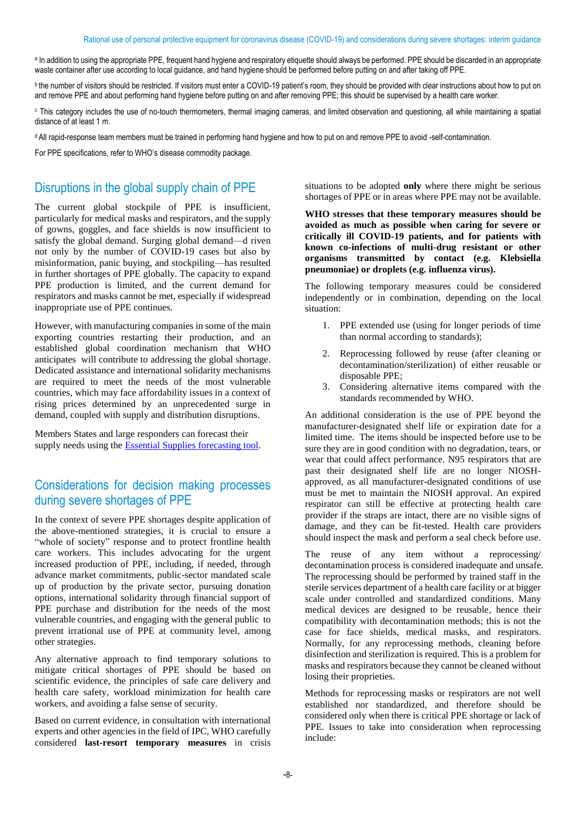a In addition to using the appropriate PPE, frequent hand hygiene and respiratory etiquette should always be performed. PPE should be discarded in an appropriate waste container after use according to local guidance, and hand hygiene should be performed before putting on and after taking off PPE.

<sup>b</sup> the number of visitors should be restricted. If visitors must enter a COVID-19 patient's room, they should be provided with clear instructions about how to put on and remove PPE and about performing hand hygiene before putting on and after removing PPE; this should be supervised by a health care worker.

<sup>c</sup> This category includes the use of no-touch thermometers, thermal imaging cameras, and limited observation and questioning, all while maintaining a spatial distance of at least 1 m.

<sup>d</sup>All rapid-response team members must be trained in performing hand hygiene and how to put on and remove PPE to avoid -self-contamination.

For PPE specifications, refer to WHO's disease commodity package.

## Disruptions in the global supply chain of PPE

The current global stockpile of PPE is insufficient, particularly for medical masks and respirators, and the supply of gowns, goggles, and face shields is now insufficient to satisfy the global demand. Surging global demand—d riven not only by the number of COVID-19 cases but also by misinformation, panic buying, and stockpiling—has resulted in further shortages of PPE globally. The capacity to expand PPE production is limited, and the current demand for respirators and masks cannot be met, especially if widespread inappropriate use of PPE continues.

However, with manufacturing companies in some of the main exporting countries restarting their production, and an established global coordination mechanism that WHO anticipates will contribute to addressing the global shortage. Dedicated assistance and international solidarity mechanisms are required to meet the needs of the most vulnerable countries, which may face affordability issues in a context of rising prices determined by an unprecedented surge in demand, coupled with supply and distribution disruptions.

Members States and large responders can forecast their supply needs using the [Essential Supplies forecasting tool.](https://www.who.int/emergencies/diseases/novel-coronavirus-2019/technical-guidance/covid-19-critical-items)

# Considerations for decision making processes during severe shortages of PPE

In the context of severe PPE shortages despite application of the above-mentioned strategies, it is crucial to ensure a "whole of society" response and to protect frontline health care workers. This includes advocating for the urgent increased production of PPE, including, if needed, through advance market commitments, public-sector mandated scale up of production by the private sector, pursuing donation options, international solidarity through financial support of PPE purchase and distribution for the needs of the most vulnerable countries, and engaging with the general public to prevent irrational use of PPE at community level, among other strategies.

Any alternative approach to find temporary solutions to mitigate critical shortages of PPE should be based on scientific evidence, the principles of safe care delivery and health care safety, workload minimization for health care workers, and avoiding a false sense of security.

Based on current evidence, in consultation with international experts and other agencies in the field of IPC, WHO carefully considered **last-resort temporary measures** in crisis situations to be adopted **only** where there might be serious shortages of PPE or in areas where PPE may not be available.

**WHO stresses that these temporary measures should be avoided as much as possible when caring for severe or critically ill COVID-19 patients, and for patients with known co-infections of multi-drug resistant or other organisms transmitted by contact (e.g. Klebsiella pneumoniae) or droplets (e.g. influenza virus).** 

The following temporary measures could be considered independently or in combination, depending on the local situation:

- 1. PPE extended use (using for longer periods of time than normal according to standards);
- 2. Reprocessing followed by reuse (after cleaning or decontamination/sterilization) of either reusable or disposable PPE;
- 3. Considering alternative items compared with the standards recommended by WHO.

An additional consideration is the use of PPE beyond the manufacturer-designated shelf life or expiration date for a limited time. The items should be inspected before use to be sure they are in good condition with no degradation, tears, or wear that could affect performance. N95 respirators that are past their designated shelf life are no longer NIOSHapproved, as all manufacturer-designated conditions of use must be met to maintain the NIOSH approval. An expired respirator can still be effective at protecting health care provider if the straps are intact, there are no visible signs of damage, and they can be fit-tested. Health care providers should inspect the mask and perform a seal check before use.

The reuse of any item without a reprocessing/ decontamination process is considered inadequate and unsafe. The reprocessing should be performed by trained staff in the sterile services department of a health care facility or at bigger scale under controlled and standardized conditions. Many medical devices are designed to be reusable, hence their compatibility with decontamination methods; this is not the case for face shields, medical masks, and respirators. Normally, for any reprocessing methods, cleaning before disinfection and sterilization is required. This is a problem for masks and respirators because they cannot be cleaned without losing their proprieties.

Methods for reprocessing masks or respirators are not well established nor standardized, and therefore should be considered only when there is critical PPE shortage or lack of PPE. Issues to take into consideration when reprocessing include: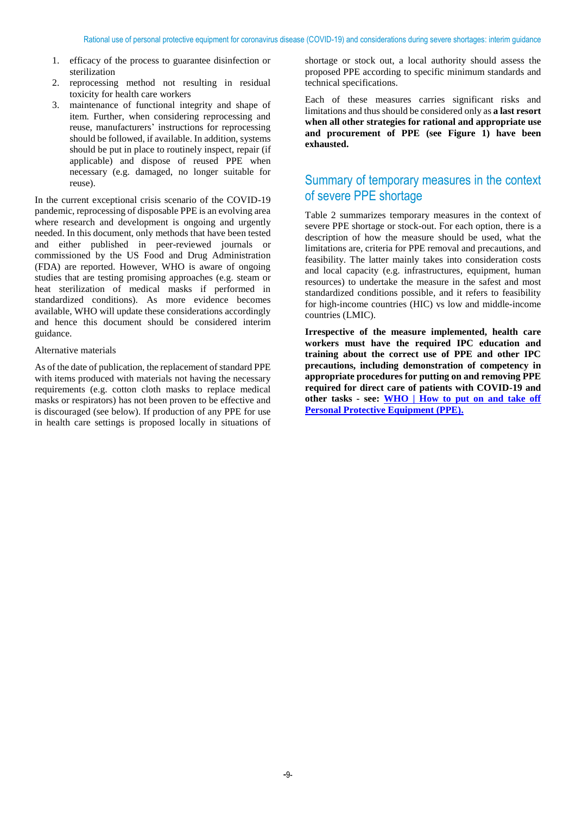- 1. efficacy of the process to guarantee disinfection or sterilization
- 2. reprocessing method not resulting in residual toxicity for health care workers
- 3. maintenance of functional integrity and shape of item. Further, when considering reprocessing and reuse, manufacturers' instructions for reprocessing should be followed, if available. In addition, systems should be put in place to routinely inspect, repair (if applicable) and dispose of reused PPE when necessary (e.g. damaged, no longer suitable for reuse).

In the current exceptional crisis scenario of the COVID-19 pandemic, reprocessing of disposable PPE is an evolving area where research and development is ongoing and urgently needed. In this document, only methods that have been tested and either published in peer-reviewed journals or commissioned by the US Food and Drug Administration (FDA) are reported. However, WHO is aware of ongoing studies that are testing promising approaches (e.g. steam or heat sterilization of medical masks if performed in standardized conditions). As more evidence becomes available, WHO will update these considerations accordingly and hence this document should be considered interim guidance.

#### Alternative materials

As of the date of publication, the replacement of standard PPE with items produced with materials not having the necessary requirements (e.g. cotton cloth masks to replace medical masks or respirators) has not been proven to be effective and is discouraged (see below). If production of any PPE for use in health care settings is proposed locally in situations of

shortage or stock out, a local authority should assess the proposed PPE according to specific minimum standards and technical specifications.

Each of these measures carries significant risks and limitations and thus should be considered only as **a last resort when all other strategies for rational and appropriate use and procurement of PPE (see Figure 1) have been exhausted.**

# Summary of temporary measures in the context of severe PPE shortage

Table 2 summarizes temporary measures in the context of severe PPE shortage or stock-out. For each option, there is a description of how the measure should be used, what the limitations are, criteria for PPE removal and precautions, and feasibility. The latter mainly takes into consideration costs and local capacity (e.g. infrastructures, equipment, human resources) to undertake the measure in the safest and most standardized conditions possible, and it refers to feasibility for high-income countries (HIC) vs low and middle-income countries (LMIC).

**Irrespective of the measure implemented, health care workers must have the required IPC education and training about the correct use of PPE and other IPC precautions, including demonstration of competency in appropriate procedures for putting on and removing PPE required for direct care of patients with COVID-19 and other tasks - see: [WHO | How to put on and take off](https://www.who.int/csr/resources/publications/putontakeoffPPE/en/) [Personal Protective Equipment \(PPE\).](https://www.who.int/csr/resources/publications/putontakeoffPPE/en/)**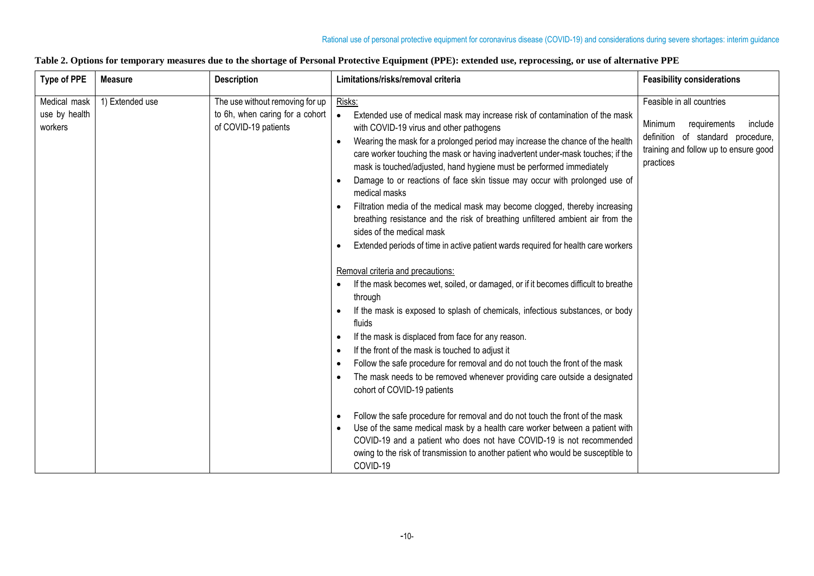#### **Table 2. Options for temporary measures due to the shortage of Personal Protective Equipment (PPE): extended use, reprocessing, or use of alternative PPE**

| <b>Type of PPE</b>                       | <b>Measure</b>  | <b>Description</b>                                                                         | Limitations/risks/removal criteria                                                                                                                                                                                                                                                                                                                                                                                                                                                                                                                                                                                                                                                                                                                                                                                                                                                                                                                                                                                                                                                                                                                                                                                                                                                                                                                                                                                                                                                                                                                                                                                                                                                                                                                                                                      | <b>Feasibility considerations</b>                                                                                                                          |
|------------------------------------------|-----------------|--------------------------------------------------------------------------------------------|---------------------------------------------------------------------------------------------------------------------------------------------------------------------------------------------------------------------------------------------------------------------------------------------------------------------------------------------------------------------------------------------------------------------------------------------------------------------------------------------------------------------------------------------------------------------------------------------------------------------------------------------------------------------------------------------------------------------------------------------------------------------------------------------------------------------------------------------------------------------------------------------------------------------------------------------------------------------------------------------------------------------------------------------------------------------------------------------------------------------------------------------------------------------------------------------------------------------------------------------------------------------------------------------------------------------------------------------------------------------------------------------------------------------------------------------------------------------------------------------------------------------------------------------------------------------------------------------------------------------------------------------------------------------------------------------------------------------------------------------------------------------------------------------------------|------------------------------------------------------------------------------------------------------------------------------------------------------------|
| Medical mask<br>use by health<br>workers | 1) Extended use | The use without removing for up<br>to 6h, when caring for a cohort<br>of COVID-19 patients | Risks:<br>Extended use of medical mask may increase risk of contamination of the mask<br>$\bullet$<br>with COVID-19 virus and other pathogens<br>Wearing the mask for a prolonged period may increase the chance of the health<br>$\bullet$<br>care worker touching the mask or having inadvertent under-mask touches; if the<br>mask is touched/adjusted, hand hygiene must be performed immediately<br>Damage to or reactions of face skin tissue may occur with prolonged use of<br>$\bullet$<br>medical masks<br>Filtration media of the medical mask may become clogged, thereby increasing<br>$\bullet$<br>breathing resistance and the risk of breathing unfiltered ambient air from the<br>sides of the medical mask<br>Extended periods of time in active patient wards required for health care workers<br>$\bullet$<br>Removal criteria and precautions:<br>If the mask becomes wet, soiled, or damaged, or if it becomes difficult to breathe<br>through<br>If the mask is exposed to splash of chemicals, infectious substances, or body<br>$\bullet$<br>fluids<br>If the mask is displaced from face for any reason.<br>$\bullet$<br>If the front of the mask is touched to adjust it<br>$\bullet$<br>Follow the safe procedure for removal and do not touch the front of the mask<br>$\bullet$<br>The mask needs to be removed whenever providing care outside a designated<br>$\bullet$<br>cohort of COVID-19 patients<br>Follow the safe procedure for removal and do not touch the front of the mask<br>$\bullet$<br>Use of the same medical mask by a health care worker between a patient with<br>$\bullet$<br>COVID-19 and a patient who does not have COVID-19 is not recommended<br>owing to the risk of transmission to another patient who would be susceptible to<br>COVID-19 | Feasible in all countries<br>Minimum<br>requirements<br>include<br>definition of standard procedure,<br>training and follow up to ensure good<br>practices |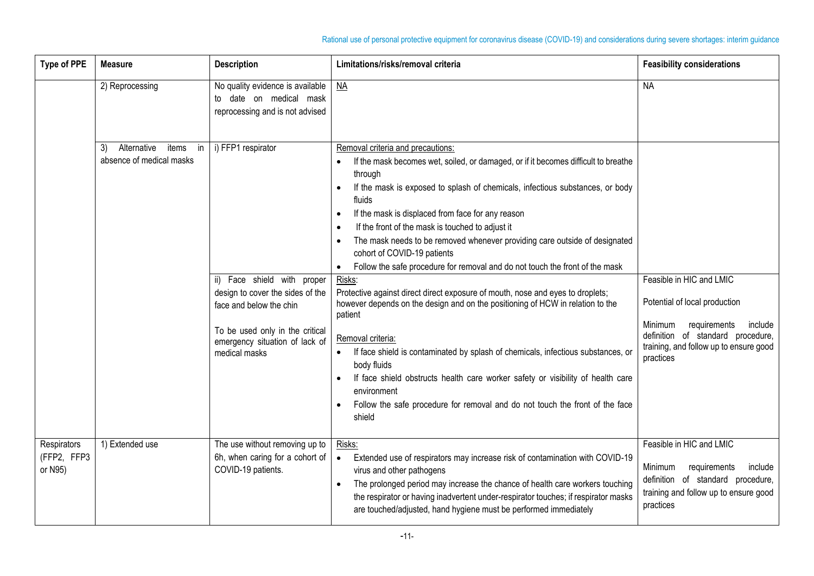| <b>Type of PPE</b>                    | <b>Measure</b>                                               | <b>Description</b>                                                                                                                                                                                        | Limitations/risks/removal criteria                                                                                                                                                                                                                                                                                                                                                                                                                                                                                                                                                                                                                                                                                                                                                                                                                                                                                                                                                                                                                                                                                                          | <b>Feasibility considerations</b>                                                                                                                                                           |
|---------------------------------------|--------------------------------------------------------------|-----------------------------------------------------------------------------------------------------------------------------------------------------------------------------------------------------------|---------------------------------------------------------------------------------------------------------------------------------------------------------------------------------------------------------------------------------------------------------------------------------------------------------------------------------------------------------------------------------------------------------------------------------------------------------------------------------------------------------------------------------------------------------------------------------------------------------------------------------------------------------------------------------------------------------------------------------------------------------------------------------------------------------------------------------------------------------------------------------------------------------------------------------------------------------------------------------------------------------------------------------------------------------------------------------------------------------------------------------------------|---------------------------------------------------------------------------------------------------------------------------------------------------------------------------------------------|
|                                       | 2) Reprocessing                                              | No quality evidence is available<br>to date on medical mask<br>reprocessing and is not advised                                                                                                            | <b>NA</b>                                                                                                                                                                                                                                                                                                                                                                                                                                                                                                                                                                                                                                                                                                                                                                                                                                                                                                                                                                                                                                                                                                                                   | <b>NA</b>                                                                                                                                                                                   |
|                                       | items<br>Alternative<br>3)<br>in<br>absence of medical masks | i) FFP1 respirator<br>Face shield with proper<br>ii)<br>design to cover the sides of the<br>face and below the chin<br>To be used only in the critical<br>emergency situation of lack of<br>medical masks | Removal criteria and precautions:<br>If the mask becomes wet, soiled, or damaged, or if it becomes difficult to breathe<br>through<br>If the mask is exposed to splash of chemicals, infectious substances, or body<br>$\bullet$<br>fluids<br>If the mask is displaced from face for any reason<br>$\bullet$<br>If the front of the mask is touched to adjust it<br>$\bullet$<br>The mask needs to be removed whenever providing care outside of designated<br>$\bullet$<br>cohort of COVID-19 patients<br>Follow the safe procedure for removal and do not touch the front of the mask<br>$\bullet$<br>Risks:<br>Protective against direct direct exposure of mouth, nose and eyes to droplets;<br>however depends on the design and on the positioning of HCW in relation to the<br>patient<br>Removal criteria:<br>If face shield is contaminated by splash of chemicals, infectious substances, or<br>body fluids<br>If face shield obstructs health care worker safety or visibility of health care<br>$\bullet$<br>environment<br>Follow the safe procedure for removal and do not touch the front of the face<br>$\bullet$<br>shield | Feasible in HIC and LMIC<br>Potential of local production<br>Minimum<br>requirements<br>include<br>definition of standard procedure,<br>training, and follow up to ensure good<br>practices |
| Respirators<br>(FFP2, FFP3<br>or N95) | 1) Extended use                                              | The use without removing up to<br>6h, when caring for a cohort of<br>COVID-19 patients.                                                                                                                   | Risks:<br>Extended use of respirators may increase risk of contamination with COVID-19<br>$\bullet$<br>virus and other pathogens<br>The prolonged period may increase the chance of health care workers touching<br>$\bullet$<br>the respirator or having inadvertent under-respirator touches; if respirator masks<br>are touched/adjusted, hand hygiene must be performed immediately                                                                                                                                                                                                                                                                                                                                                                                                                                                                                                                                                                                                                                                                                                                                                     | Feasible in HIC and LMIC<br>Minimum<br>requirements<br>include<br>definition of standard procedure,<br>training and follow up to ensure good<br>practices                                   |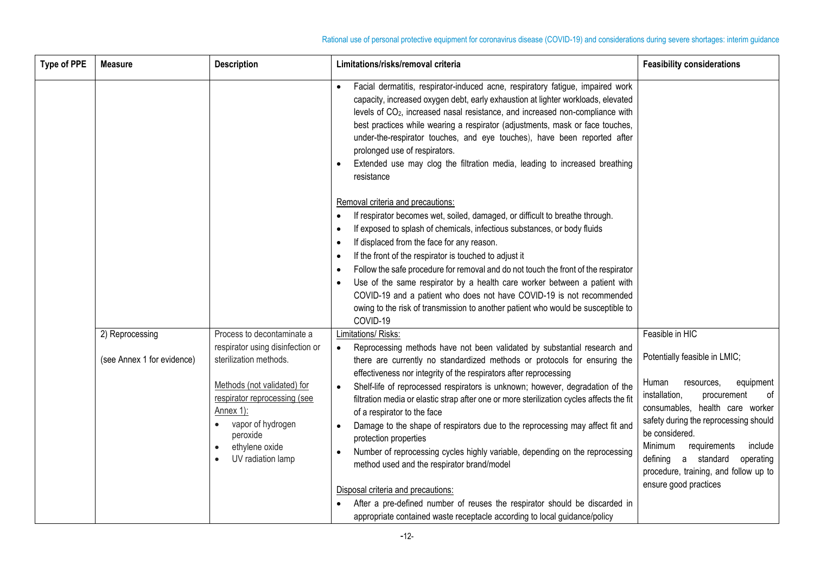| <b>Type of PPE</b> | <b>Measure</b>             | <b>Description</b>                                                                                                                                                                                             | Limitations/risks/removal criteria                                                                                                                                                                                                                                                                                                                                                                                                                                                                                                                                                                                                                                                                                                                                       | <b>Feasibility considerations</b>                                                                                                                                                                                                                                                                                                                 |
|--------------------|----------------------------|----------------------------------------------------------------------------------------------------------------------------------------------------------------------------------------------------------------|--------------------------------------------------------------------------------------------------------------------------------------------------------------------------------------------------------------------------------------------------------------------------------------------------------------------------------------------------------------------------------------------------------------------------------------------------------------------------------------------------------------------------------------------------------------------------------------------------------------------------------------------------------------------------------------------------------------------------------------------------------------------------|---------------------------------------------------------------------------------------------------------------------------------------------------------------------------------------------------------------------------------------------------------------------------------------------------------------------------------------------------|
|                    |                            |                                                                                                                                                                                                                | Facial dermatitis, respirator-induced acne, respiratory fatigue, impaired work<br>$\bullet$<br>capacity, increased oxygen debt, early exhaustion at lighter workloads, elevated<br>levels of CO <sub>2</sub> , increased nasal resistance, and increased non-compliance with<br>best practices while wearing a respirator (adjustments, mask or face touches,<br>under-the-respirator touches, and eye touches), have been reported after<br>prolonged use of respirators.<br>Extended use may clog the filtration media, leading to increased breathing<br>resistance                                                                                                                                                                                                   |                                                                                                                                                                                                                                                                                                                                                   |
|                    |                            |                                                                                                                                                                                                                | Removal criteria and precautions:<br>If respirator becomes wet, soiled, damaged, or difficult to breathe through.<br>$\bullet$<br>If exposed to splash of chemicals, infectious substances, or body fluids<br>$\bullet$<br>If displaced from the face for any reason.<br>$\bullet$<br>If the front of the respirator is touched to adjust it<br>$\bullet$<br>Follow the safe procedure for removal and do not touch the front of the respirator<br>$\bullet$<br>Use of the same respirator by a health care worker between a patient with<br>$\bullet$<br>COVID-19 and a patient who does not have COVID-19 is not recommended<br>owing to the risk of transmission to another patient who would be susceptible to<br>COVID-19                                           |                                                                                                                                                                                                                                                                                                                                                   |
|                    | 2) Reprocessing            | Process to decontaminate a                                                                                                                                                                                     | Limitations/ Risks:                                                                                                                                                                                                                                                                                                                                                                                                                                                                                                                                                                                                                                                                                                                                                      | Feasible in HIC                                                                                                                                                                                                                                                                                                                                   |
|                    | (see Annex 1 for evidence) | respirator using disinfection or<br>sterilization methods.<br>Methods (not validated) for<br>respirator reprocessing (see<br>Annex 1):<br>vapor of hydrogen<br>peroxide<br>ethylene oxide<br>UV radiation lamp | Reprocessing methods have not been validated by substantial research and<br>$\bullet$<br>there are currently no standardized methods or protocols for ensuring the<br>effectiveness nor integrity of the respirators after reprocessing<br>Shelf-life of reprocessed respirators is unknown; however, degradation of the<br>$\bullet$<br>filtration media or elastic strap after one or more sterilization cycles affects the fit<br>of a respirator to the face<br>Damage to the shape of respirators due to the reprocessing may affect fit and<br>$\bullet$<br>protection properties<br>Number of reprocessing cycles highly variable, depending on the reprocessing<br>$\bullet$<br>method used and the respirator brand/model<br>Disposal criteria and precautions: | Potentially feasible in LMIC;<br>Human<br>resources,<br>equipment<br>installation,<br>οf<br>procurement<br>consumables, health care worker<br>safety during the reprocessing should<br>be considered.<br>Minimum<br>requirements<br>include<br>defining a standard<br>operating<br>procedure, training, and follow up to<br>ensure good practices |
|                    |                            |                                                                                                                                                                                                                | After a pre-defined number of reuses the respirator should be discarded in<br>appropriate contained waste receptacle according to local guidance/policy                                                                                                                                                                                                                                                                                                                                                                                                                                                                                                                                                                                                                  |                                                                                                                                                                                                                                                                                                                                                   |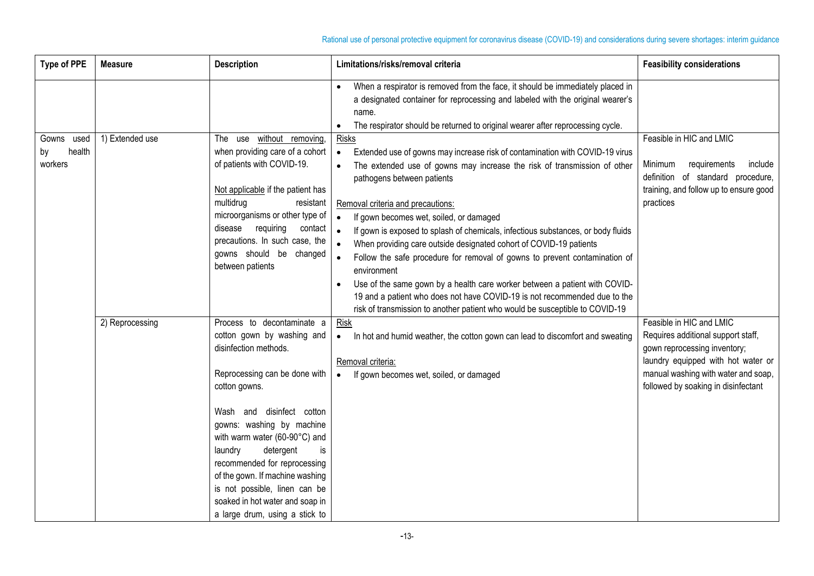| <b>Type of PPE</b>                    | <b>Measure</b>  | <b>Description</b>                                                                                                                                                                                                                                                                                                                                                                                                                    | Limitations/risks/removal criteria                                                                                                                                                                                                                                                                                                                                                                                                                                                                                                                                                                                                                                                                                                                                                                                                           | <b>Feasibility considerations</b>                                                                                                                                                                                  |
|---------------------------------------|-----------------|---------------------------------------------------------------------------------------------------------------------------------------------------------------------------------------------------------------------------------------------------------------------------------------------------------------------------------------------------------------------------------------------------------------------------------------|----------------------------------------------------------------------------------------------------------------------------------------------------------------------------------------------------------------------------------------------------------------------------------------------------------------------------------------------------------------------------------------------------------------------------------------------------------------------------------------------------------------------------------------------------------------------------------------------------------------------------------------------------------------------------------------------------------------------------------------------------------------------------------------------------------------------------------------------|--------------------------------------------------------------------------------------------------------------------------------------------------------------------------------------------------------------------|
|                                       |                 |                                                                                                                                                                                                                                                                                                                                                                                                                                       | When a respirator is removed from the face, it should be immediately placed in<br>a designated container for reprocessing and labeled with the original wearer's<br>name.<br>The respirator should be returned to original wearer after reprocessing cycle.<br>$\bullet$                                                                                                                                                                                                                                                                                                                                                                                                                                                                                                                                                                     |                                                                                                                                                                                                                    |
| Gowns used<br>health<br>by<br>workers | 1) Extended use | The use without removing,<br>when providing care of a cohort<br>of patients with COVID-19.<br>Not applicable if the patient has<br>multidrug<br>resistant<br>microorganisms or other type of<br>disease<br>requiring<br>contact<br>precautions. In such case, the<br>gowns should be changed<br>between patients                                                                                                                      | <b>Risks</b><br>Extended use of gowns may increase risk of contamination with COVID-19 virus<br>$\bullet$<br>The extended use of gowns may increase the risk of transmission of other<br>$\bullet$<br>pathogens between patients<br>Removal criteria and precautions:<br>If gown becomes wet, soiled, or damaged<br>$\bullet$<br>If gown is exposed to splash of chemicals, infectious substances, or body fluids<br>$\bullet$<br>When providing care outside designated cohort of COVID-19 patients<br>Follow the safe procedure for removal of gowns to prevent contamination of<br>environment<br>Use of the same gown by a health care worker between a patient with COVID-<br>19 and a patient who does not have COVID-19 is not recommended due to the<br>risk of transmission to another patient who would be susceptible to COVID-19 | Feasible in HIC and LMIC<br>Minimum<br>requirements<br>include<br>definition of standard procedure,<br>training, and follow up to ensure good<br>practices                                                         |
|                                       | 2) Reprocessing | Process to decontaminate a<br>cotton gown by washing and<br>disinfection methods.<br>Reprocessing can be done with<br>cotton gowns.<br>Wash and disinfect cotton<br>gowns: washing by machine<br>with warm water (60-90°C) and<br>detergent<br>laundry<br>is<br>recommended for reprocessing<br>of the gown. If machine washing<br>is not possible, linen can be<br>soaked in hot water and soap in<br>a large drum, using a stick to | Risk<br>In hot and humid weather, the cotton gown can lead to discomfort and sweating<br>$\bullet$<br>Removal criteria:<br>If gown becomes wet, soiled, or damaged<br>$\bullet$                                                                                                                                                                                                                                                                                                                                                                                                                                                                                                                                                                                                                                                              | Feasible in HIC and LMIC<br>Requires additional support staff,<br>gown reprocessing inventory;<br>laundry equipped with hot water or<br>manual washing with water and soap,<br>followed by soaking in disinfectant |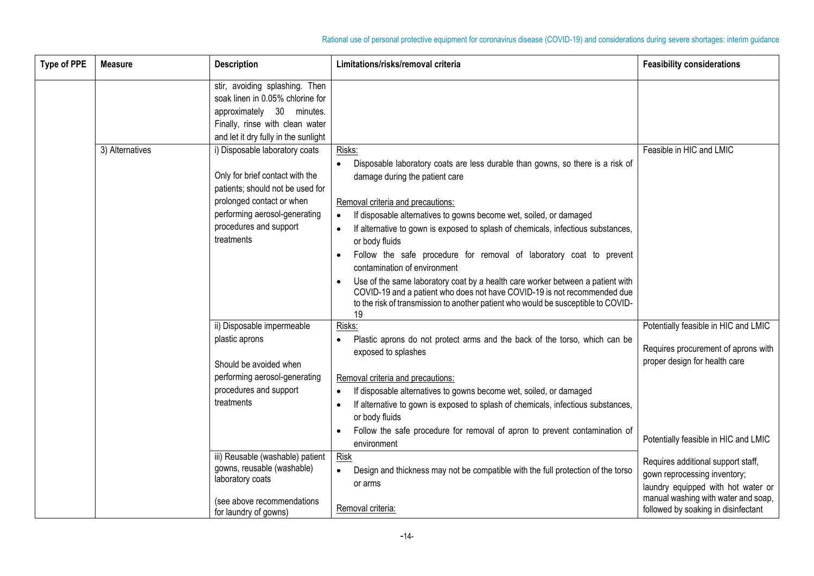| <b>Type of PPE</b> | <b>Measure</b>  | <b>Description</b>                                                                                                                                                                                          | Limitations/risks/removal criteria                                                                                                                                                                                                                                                                                                                                                                                                                                                                                                                                                                                                                                                                                                                              | <b>Feasibility considerations</b>                                                                                                                                                      |
|--------------------|-----------------|-------------------------------------------------------------------------------------------------------------------------------------------------------------------------------------------------------------|-----------------------------------------------------------------------------------------------------------------------------------------------------------------------------------------------------------------------------------------------------------------------------------------------------------------------------------------------------------------------------------------------------------------------------------------------------------------------------------------------------------------------------------------------------------------------------------------------------------------------------------------------------------------------------------------------------------------------------------------------------------------|----------------------------------------------------------------------------------------------------------------------------------------------------------------------------------------|
|                    |                 | stir, avoiding splashing. Then<br>soak linen in 0.05% chlorine for<br>approximately 30 minutes.<br>Finally, rinse with clean water<br>and let it dry fully in the sunlight                                  |                                                                                                                                                                                                                                                                                                                                                                                                                                                                                                                                                                                                                                                                                                                                                                 |                                                                                                                                                                                        |
|                    | 3) Alternatives | i) Disposable laboratory coats<br>Only for brief contact with the<br>patients; should not be used for<br>prolonged contact or when<br>performing aerosol-generating<br>procedures and support<br>treatments | Risks:<br>Disposable laboratory coats are less durable than gowns, so there is a risk of<br>$\bullet$<br>damage during the patient care<br>Removal criteria and precautions:<br>If disposable alternatives to gowns become wet, soiled, or damaged<br>$\bullet$<br>If alternative to gown is exposed to splash of chemicals, infectious substances,<br>$\bullet$<br>or body fluids<br>Follow the safe procedure for removal of laboratory coat to prevent<br>contamination of environment<br>Use of the same laboratory coat by a health care worker between a patient with<br>$\bullet$<br>COVID-19 and a patient who does not have COVID-19 is not recommended due<br>to the risk of transmission to another patient who would be susceptible to COVID-<br>19 | Feasible in HIC and LMIC                                                                                                                                                               |
|                    |                 | ii) Disposable impermeable<br>plastic aprons<br>Should be avoided when<br>performing aerosol-generating<br>procedures and support<br>treatments                                                             | Risks:<br>Plastic aprons do not protect arms and the back of the torso, which can be<br>exposed to splashes<br>Removal criteria and precautions:<br>If disposable alternatives to gowns become wet, soiled, or damaged<br>$\bullet$<br>If alternative to gown is exposed to splash of chemicals, infectious substances,<br>$\bullet$<br>or body fluids<br>Follow the safe procedure for removal of apron to prevent contamination of                                                                                                                                                                                                                                                                                                                            | Potentially feasible in HIC and LMIC<br>Requires procurement of aprons with<br>proper design for health care<br>Potentially feasible in HIC and LMIC                                   |
|                    |                 | iii) Reusable (washable) patient<br>gowns, reusable (washable)<br>laboratory coats<br>(see above recommendations<br>for laundry of gowns)                                                                   | environment<br>Risk<br>Design and thickness may not be compatible with the full protection of the torso<br>$\bullet$<br>or arms<br>Removal criteria:                                                                                                                                                                                                                                                                                                                                                                                                                                                                                                                                                                                                            | Requires additional support staff,<br>gown reprocessing inventory;<br>laundry equipped with hot water or<br>manual washing with water and soap,<br>followed by soaking in disinfectant |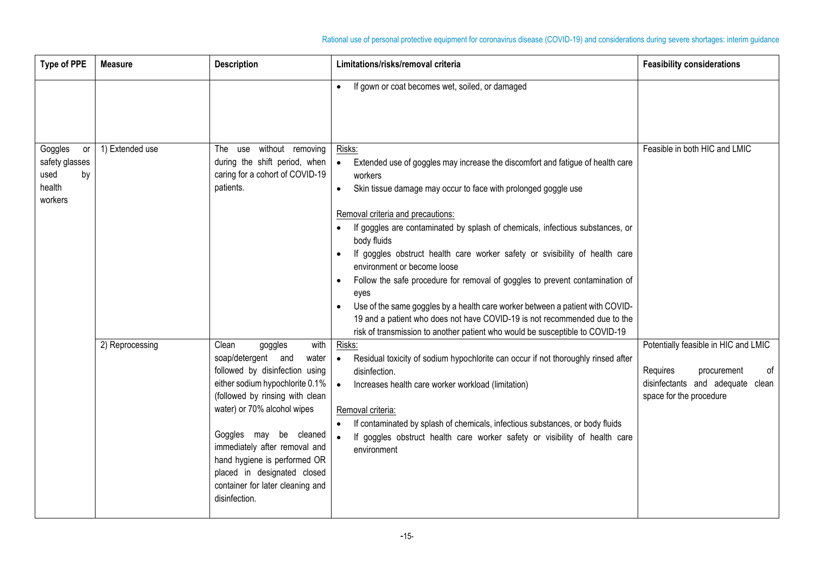| <b>Type of PPE</b>                                                 | <b>Measure</b>  | <b>Description</b>                                                                                                                                                                                                                                                                                                                                                            | Limitations/risks/removal criteria                                                                                                                                                                                                                                                                                                                                                                                                                                                                                                                                                                                                                                                                                                                                          | <b>Feasibility considerations</b>                                                                                                    |
|--------------------------------------------------------------------|-----------------|-------------------------------------------------------------------------------------------------------------------------------------------------------------------------------------------------------------------------------------------------------------------------------------------------------------------------------------------------------------------------------|-----------------------------------------------------------------------------------------------------------------------------------------------------------------------------------------------------------------------------------------------------------------------------------------------------------------------------------------------------------------------------------------------------------------------------------------------------------------------------------------------------------------------------------------------------------------------------------------------------------------------------------------------------------------------------------------------------------------------------------------------------------------------------|--------------------------------------------------------------------------------------------------------------------------------------|
|                                                                    |                 |                                                                                                                                                                                                                                                                                                                                                                               | If gown or coat becomes wet, soiled, or damaged<br>$\bullet$                                                                                                                                                                                                                                                                                                                                                                                                                                                                                                                                                                                                                                                                                                                |                                                                                                                                      |
| Goggles<br>or<br>safety glasses<br>used<br>by<br>health<br>workers | 1) Extended use | The use without removing<br>during the shift period, when<br>caring for a cohort of COVID-19<br>patients.                                                                                                                                                                                                                                                                     | Risks:<br>Extended use of goggles may increase the discomfort and fatigue of health care<br>workers<br>Skin tissue damage may occur to face with prolonged goggle use<br>$\bullet$<br>Removal criteria and precautions:<br>If goggles are contaminated by splash of chemicals, infectious substances, or<br>body fluids<br>If goggles obstruct health care worker safety or svisibility of health care<br>environment or become loose<br>Follow the safe procedure for removal of goggles to prevent contamination of<br>eyes<br>Use of the same goggles by a health care worker between a patient with COVID-<br>19 and a patient who does not have COVID-19 is not recommended due to the<br>risk of transmission to another patient who would be susceptible to COVID-19 | Feasible in both HIC and LMIC                                                                                                        |
|                                                                    | 2) Reprocessing | Clean<br>with<br>goggles<br>soap/detergent and<br>water<br>followed by disinfection using<br>either sodium hypochlorite 0.1%<br>(followed by rinsing with clean<br>water) or 70% alcohol wipes<br>Goggles may be cleaned<br>immediately after removal and<br>hand hygiene is performed OR<br>placed in designated closed<br>container for later cleaning and<br>disinfection. | Risks:<br>Residual toxicity of sodium hypochlorite can occur if not thoroughly rinsed after<br>disinfection.<br>Increases health care worker workload (limitation)<br>Removal criteria:<br>If contaminated by splash of chemicals, infectious substances, or body fluids<br>If goggles obstruct health care worker safety or visibility of health care<br>$\bullet$<br>environment                                                                                                                                                                                                                                                                                                                                                                                          | Potentially feasible in HIC and LMIC<br>Requires<br>of<br>procurement<br>disinfectants and adequate clean<br>space for the procedure |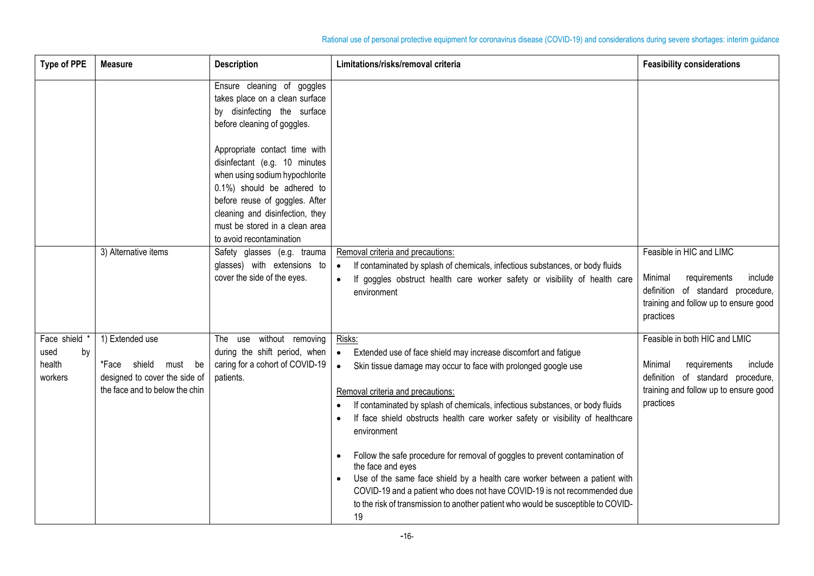| <b>Type of PPE</b>                               | <b>Measure</b>                                                                                                   | <b>Description</b>                                                                                                                                                                                                                                                | Limitations/risks/removal criteria                                                                                                                                                                                                                                                                                                                                                                                                                                                                                                                                                                                                                                                                                                                                  | <b>Feasibility considerations</b>                                                                                                                              |
|--------------------------------------------------|------------------------------------------------------------------------------------------------------------------|-------------------------------------------------------------------------------------------------------------------------------------------------------------------------------------------------------------------------------------------------------------------|---------------------------------------------------------------------------------------------------------------------------------------------------------------------------------------------------------------------------------------------------------------------------------------------------------------------------------------------------------------------------------------------------------------------------------------------------------------------------------------------------------------------------------------------------------------------------------------------------------------------------------------------------------------------------------------------------------------------------------------------------------------------|----------------------------------------------------------------------------------------------------------------------------------------------------------------|
|                                                  |                                                                                                                  | Ensure cleaning of goggles<br>takes place on a clean surface<br>by disinfecting the surface<br>before cleaning of goggles.                                                                                                                                        |                                                                                                                                                                                                                                                                                                                                                                                                                                                                                                                                                                                                                                                                                                                                                                     |                                                                                                                                                                |
|                                                  |                                                                                                                  | Appropriate contact time with<br>disinfectant (e.g. 10 minutes<br>when using sodium hypochlorite<br>0.1%) should be adhered to<br>before reuse of goggles. After<br>cleaning and disinfection, they<br>must be stored in a clean area<br>to avoid recontamination |                                                                                                                                                                                                                                                                                                                                                                                                                                                                                                                                                                                                                                                                                                                                                                     |                                                                                                                                                                |
|                                                  | 3) Alternative items                                                                                             | Safety glasses (e.g. trauma<br>glasses) with extensions to<br>cover the side of the eyes.                                                                                                                                                                         | Removal criteria and precautions:<br>If contaminated by splash of chemicals, infectious substances, or body fluids<br>$\bullet$<br>If goggles obstruct health care worker safety or visibility of health care<br>$\bullet$<br>environment                                                                                                                                                                                                                                                                                                                                                                                                                                                                                                                           | Feasible in HIC and LIMC<br>Minimal<br>requirements<br>include<br>definition of standard procedure,<br>training and follow up to ensure good<br>practices      |
| Face shield *<br>used<br>by<br>health<br>workers | 1) Extended use<br>*Face shield<br>must<br>be<br>designed to cover the side of<br>the face and to below the chin | The use without removing<br>during the shift period, when<br>caring for a cohort of COVID-19<br>patients.                                                                                                                                                         | Risks:<br>Extended use of face shield may increase discomfort and fatigue<br>$\bullet$<br>Skin tissue damage may occur to face with prolonged google use<br>$\bullet$<br>Removal criteria and precautions:<br>If contaminated by splash of chemicals, infectious substances, or body fluids<br>If face shield obstructs health care worker safety or visibility of healthcare<br>environment<br>Follow the safe procedure for removal of goggles to prevent contamination of<br>$\bullet$<br>the face and eyes<br>Use of the same face shield by a health care worker between a patient with<br>COVID-19 and a patient who does not have COVID-19 is not recommended due<br>to the risk of transmission to another patient who would be susceptible to COVID-<br>19 | Feasible in both HIC and LMIC<br>Minimal<br>requirements<br>include<br>definition of standard procedure,<br>training and follow up to ensure good<br>practices |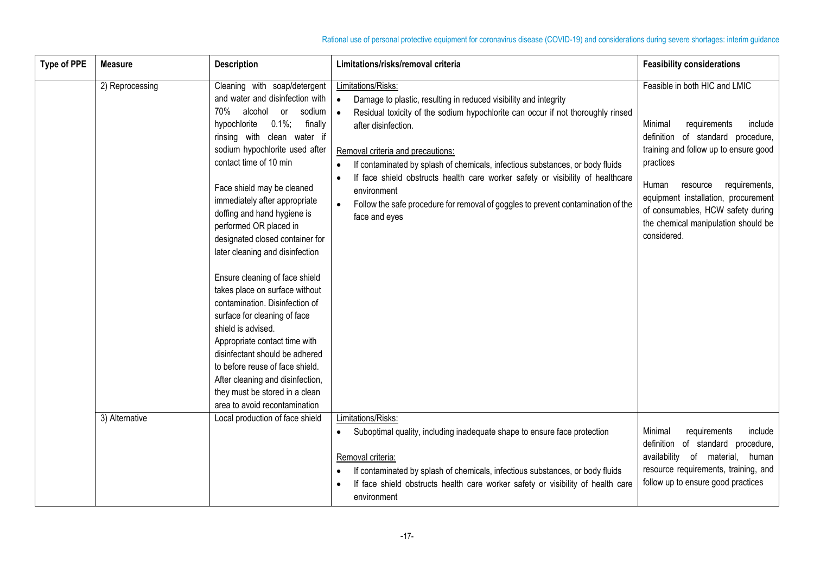| <b>Type of PPE</b> | <b>Measure</b>  | <b>Description</b>                                                                                                                                                                                                                                                                                                                                                                                                                                                                                                                                                                                                                                                                                                                                                                                          | Limitations/risks/removal criteria                                                                                                                                                                                                                                                                                                                                                                                                                                                                                                                                               | <b>Feasibility considerations</b>                                                                                                                                                                                                                                                                                                      |
|--------------------|-----------------|-------------------------------------------------------------------------------------------------------------------------------------------------------------------------------------------------------------------------------------------------------------------------------------------------------------------------------------------------------------------------------------------------------------------------------------------------------------------------------------------------------------------------------------------------------------------------------------------------------------------------------------------------------------------------------------------------------------------------------------------------------------------------------------------------------------|----------------------------------------------------------------------------------------------------------------------------------------------------------------------------------------------------------------------------------------------------------------------------------------------------------------------------------------------------------------------------------------------------------------------------------------------------------------------------------------------------------------------------------------------------------------------------------|----------------------------------------------------------------------------------------------------------------------------------------------------------------------------------------------------------------------------------------------------------------------------------------------------------------------------------------|
|                    | 2) Reprocessing | Cleaning with soap/detergent<br>and water and disinfection with<br>70%<br>alcohol or<br>sodium   .<br>$0.1\%;$<br>finally<br>hypochlorite<br>rinsing with clean water if<br>sodium hypochlorite used after<br>contact time of 10 min<br>Face shield may be cleaned<br>immediately after appropriate<br>doffing and hand hygiene is<br>performed OR placed in<br>designated closed container for<br>later cleaning and disinfection<br>Ensure cleaning of face shield<br>takes place on surface without<br>contamination. Disinfection of<br>surface for cleaning of face<br>shield is advised.<br>Appropriate contact time with<br>disinfectant should be adhered<br>to before reuse of face shield.<br>After cleaning and disinfection,<br>they must be stored in a clean<br>area to avoid recontamination | Limitations/Risks:<br>Damage to plastic, resulting in reduced visibility and integrity<br>$\bullet$<br>Residual toxicity of the sodium hypochlorite can occur if not thoroughly rinsed<br>after disinfection.<br>Removal criteria and precautions:<br>If contaminated by splash of chemicals, infectious substances, or body fluids<br>$\bullet$<br>If face shield obstructs health care worker safety or visibility of healthcare<br>$\bullet$<br>environment<br>Follow the safe procedure for removal of goggles to prevent contamination of the<br>$\bullet$<br>face and eyes | Feasible in both HIC and LMIC<br>Minimal<br>include<br>requirements<br>definition of standard procedure,<br>training and follow up to ensure good<br>practices<br>Human<br>requirements,<br>resource<br>equipment installation, procurement<br>of consumables, HCW safety during<br>the chemical manipulation should be<br>considered. |
|                    | 3) Alternative  | Local production of face shield                                                                                                                                                                                                                                                                                                                                                                                                                                                                                                                                                                                                                                                                                                                                                                             | Limitations/Risks:<br>Suboptimal quality, including inadequate shape to ensure face protection<br>$\bullet$<br>Removal criteria:<br>If contaminated by splash of chemicals, infectious substances, or body fluids<br>If face shield obstructs health care worker safety or visibility of health care<br>environment                                                                                                                                                                                                                                                              | Minimal<br>requirements<br>include<br>definition of standard procedure,<br>availability of material,<br>human<br>resource requirements, training, and<br>follow up to ensure good practices                                                                                                                                            |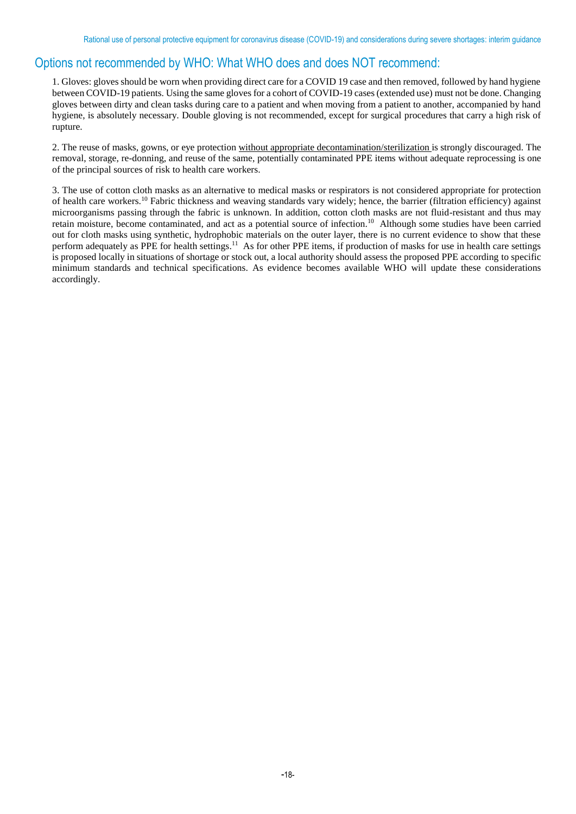# Options not recommended by WHO: What WHO does and does NOT recommend:

1. Gloves: gloves should be worn when providing direct care for a COVID 19 case and then removed, followed by hand hygiene between COVID-19 patients. Using the same gloves for a cohort of COVID-19 cases (extended use) must not be done. Changing gloves between dirty and clean tasks during care to a patient and when moving from a patient to another, accompanied by hand hygiene, is absolutely necessary. Double gloving is not recommended, except for surgical procedures that carry a high risk of rupture.

2. The reuse of masks, gowns, or eye protection without appropriate decontamination/sterilization is strongly discouraged. The removal, storage, re-donning, and reuse of the same, potentially contaminated PPE items without adequate reprocessing is one of the principal sources of risk to health care workers.

3. The use of cotton cloth masks as an alternative to medical masks or respirators is not considered appropriate for protection of health care workers.<sup>10</sup> Fabric thickness and weaving standards vary widely; hence, the barrier (filtration efficiency) against microorganisms passing through the fabric is unknown. In addition, cotton cloth masks are not fluid-resistant and thus may retain moisture, become contaminated, and act as a potential source of infection.<sup>10</sup> Although some studies have been carried out for cloth masks using synthetic, hydrophobic materials on the outer layer, there is no current evidence to show that these perform adequately as PPE for health settings.<sup>11</sup> As for other PPE items, if production of masks for use in health care settings is proposed locally in situations of shortage or stock out, a local authority should assess the proposed PPE according to specific minimum standards and technical specifications. As evidence becomes available WHO will update these considerations accordingly.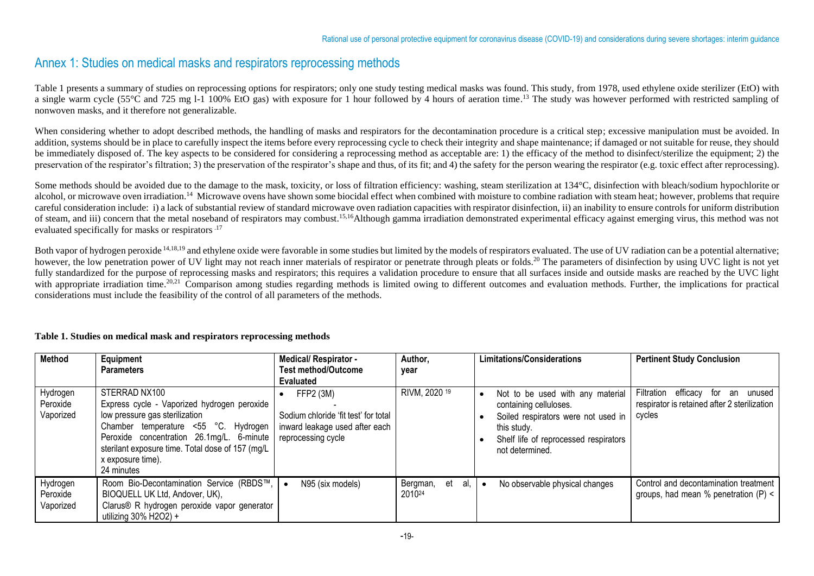# Annex 1: Studies on medical masks and respirators reprocessing methods

Table 1 presents a summary of studies on reprocessing options for respirators; only one study testing medical masks was found. This study, from 1978, used ethylene oxide sterilizer (EtO) with a single warm cycle (55°C and 725 mg 1-1 100% EtO gas) with exposure for 1 hour followed by 4 hours of aeration time.<sup>13</sup> The study was however performed with restricted sampling of nonwoven masks, and it therefore not generalizable.

When considering whether to adopt described methods, the handling of masks and respirators for the decontamination procedure is a critical step; excessive manipulation must be avoided. In addition, systems should be in place to carefully inspect the items before every reprocessing cycle to check their integrity and shape maintenance; if damaged or not suitable for reuse, they should be immediately disposed of. The key aspects to be considered for considering a reprocessing method as acceptable are: 1) the efficacy of the method to disinfect/sterilize the equipment; 2) the preservation of the respirator's filtration; 3) the preservation of the respirator's shape and thus, of its fit; and 4) the safety for the person wearing the respirator (e.g. toxic effect after reprocessing).

Some methods should be avoided due to the damage to the mask, toxicity, or loss of filtration efficiency: washing, steam sterilization at 134°C, disinfection with bleach/sodium hypochlorite or alcohol, or microwave oven irradiation.<sup>14</sup> Microwave ovens have shown some biocidal effect when combined with moisture to combine radiation with steam heat; however, problems that require careful consideration include: i) a lack of substantial review of standard microwave oven radiation capacities with respirator disinfection, ii) an inability to ensure controls for uniform distribution of steam, and iii) concern that the metal noseband of respirators may combust.<sup>15,16</sup>Although gamma irradiation demonstrated experimental efficacy against emerging virus, this method was not evaluated specifically for masks or respirators.<sup>17</sup>

Both vapor of hydrogen peroxide <sup>14,18,19</sup> and ethylene oxide were favorable in some studies but limited by the models of respirators evaluated. The use of UV radiation can be a potential alternative; however, the low penetration power of UV light may not reach inner materials of respirator or penetrate through pleats or folds.<sup>20</sup> The parameters of disinfection by using UVC light is not yet fully standardized for the purpose of reprocessing masks and respirators; this requires a validation procedure to ensure that all surfaces inside and outside masks are reached by the UVC light with appropriate irradiation time.<sup>20,21</sup> Comparison among studies regarding methods is limited owing to different outcomes and evaluation methods. Further, the implications for practical considerations must include the feasibility of the control of all parameters of the methods.

#### **Table 1. Studies on medical mask and respirators reprocessing methods**

| <b>Method</b>                     | Equipment<br><b>Parameters</b>                                                                                                                                                                                                                                             | <b>Medical/ Respirator -</b><br><b>Test method/Outcome</b><br><b>Evaluated</b>                            | Author,<br>year                 | Limitations/Considerations                                                                                                                                                   | <b>Pertinent Study Conclusion</b>                                                                    |
|-----------------------------------|----------------------------------------------------------------------------------------------------------------------------------------------------------------------------------------------------------------------------------------------------------------------------|-----------------------------------------------------------------------------------------------------------|---------------------------------|------------------------------------------------------------------------------------------------------------------------------------------------------------------------------|------------------------------------------------------------------------------------------------------|
| Hydrogen<br>Peroxide<br>Vaporized | STERRAD NX100<br>Express cycle - Vaporized hydrogen peroxide<br>low pressure gas sterilization<br>Chamber temperature <55 °C. Hydrogen<br>Peroxide concentration 26.1mg/L. 6-minute<br>sterilant exposure time. Total dose of 157 (mg/L<br>x exposure time).<br>24 minutes | FFP2 (3M)<br>Sodium chloride 'fit test' for total<br>inward leakage used after each<br>reprocessing cycle | RIVM, 2020 19                   | Not to be used with any material<br>containing celluloses.<br>Soiled respirators were not used in<br>this study.<br>Shelf life of reprocessed respirators<br>not determined. | Filtration<br>efficacy<br>for<br>an unused<br>respirator is retained after 2 sterilization<br>cycles |
| Hydrogen<br>Peroxide<br>Vaporized | Room Bio-Decontamination Service (RBDS™,<br>BIOQUELL UK Ltd, Andover, UK),<br>Clarus® R hydrogen peroxide vapor generator<br>utilizing $30\%$ H2O2) +                                                                                                                      | N95 (six models)                                                                                          | al,<br>Bergman,<br>et<br>201024 | No observable physical changes                                                                                                                                               | Control and decontamination treatment<br>groups, had mean % penetration $(P)$ <                      |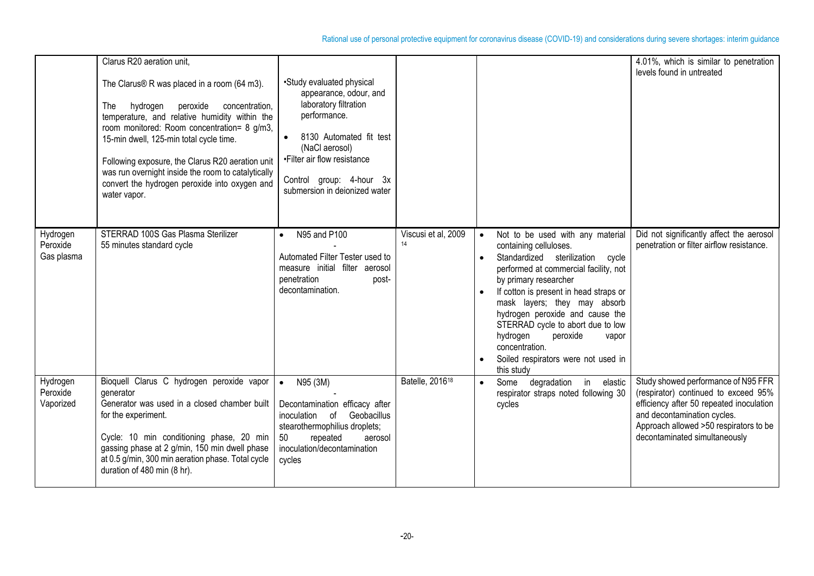|                                    | Clarus R20 aeration unit,<br>The Clarus® R was placed in a room (64 m3).<br>hydrogen<br>peroxide<br>concentration,<br>The<br>temperature, and relative humidity within the<br>room monitored: Room concentration= 8 g/m3,<br>15-min dwell, 125-min total cycle time.<br>Following exposure, the Clarus R20 aeration unit<br>was run overnight inside the room to catalytically<br>convert the hydrogen peroxide into oxygen and<br>water vapor. | •Study evaluated physical<br>appearance, odour, and<br>laboratory filtration<br>performance.<br>8130 Automated fit test<br>(NaCl aerosol)<br>•Filter air flow resistance<br>Control group: 4-hour 3x<br>submersion in deionized water |                             |                                                                                                                                                                                                                                                                                                                                                                                                                            | 4.01%, which is similar to penetration<br>levels found in untreated                                                                                                                                                               |
|------------------------------------|-------------------------------------------------------------------------------------------------------------------------------------------------------------------------------------------------------------------------------------------------------------------------------------------------------------------------------------------------------------------------------------------------------------------------------------------------|---------------------------------------------------------------------------------------------------------------------------------------------------------------------------------------------------------------------------------------|-----------------------------|----------------------------------------------------------------------------------------------------------------------------------------------------------------------------------------------------------------------------------------------------------------------------------------------------------------------------------------------------------------------------------------------------------------------------|-----------------------------------------------------------------------------------------------------------------------------------------------------------------------------------------------------------------------------------|
| Hydrogen<br>Peroxide<br>Gas plasma | STERRAD 100S Gas Plasma Sterilizer<br>55 minutes standard cycle                                                                                                                                                                                                                                                                                                                                                                                 | N95 and P100<br>Automated Filter Tester used to<br>measure initial filter aerosol<br>penetration<br>post-<br>decontamination.                                                                                                         | Viscusi et al, 2009<br>14   | Not to be used with any material<br>containing celluloses.<br>Standardized sterilization cycle<br>performed at commercial facility, not<br>by primary researcher<br>If cotton is present in head straps or<br>mask layers; they may absorb<br>hydrogen peroxide and cause the<br>STERRAD cycle to abort due to low<br>hydrogen<br>peroxide<br>vapor<br>concentration.<br>Soiled respirators were not used in<br>this study | Did not significantly affect the aerosol<br>penetration or filter airflow resistance.                                                                                                                                             |
| Hydrogen<br>Peroxide<br>Vaporized  | Bioquell Clarus C hydrogen peroxide vapor<br>qenerator<br>Generator was used in a closed chamber built<br>for the experiment.<br>Cycle: 10 min conditioning phase, 20 min<br>gassing phase at 2 g/min, 150 min dwell phase<br>at 0.5 g/min, 300 min aeration phase. Total cycle<br>duration of 480 min (8 hr).                                                                                                                                  | N95 (3M)<br>$\bullet$<br>Decontamination efficacy after<br>Geobacillus<br>inoculation of<br>stearothermophilius droplets;<br>repeated<br>50<br>aerosol<br>inoculation/decontamination<br>cycles                                       | Batelle, 2016 <sup>18</sup> | degradation in elastic<br>Some<br>$\bullet$<br>respirator straps noted following 30<br>cycles                                                                                                                                                                                                                                                                                                                              | Study showed performance of N95 FFR<br>(respirator) continued to exceed 95%<br>efficiency after 50 repeated inoculation<br>and decontamination cycles.<br>Approach allowed >50 respirators to be<br>decontaminated simultaneously |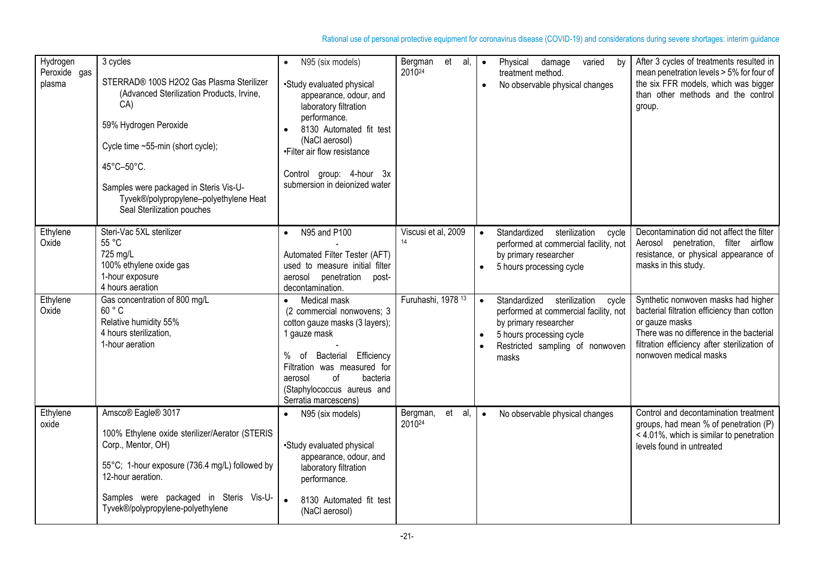| Hydrogen<br>Peroxide gas<br>plasma | 3 cycles<br>STERRAD® 100S H2O2 Gas Plasma Sterilizer<br>(Advanced Sterilization Products, Irvine,<br>CA)<br>59% Hydrogen Peroxide<br>Cycle time ~55-min (short cycle);<br>45°C-50°C.<br>Samples were packaged in Steris Vis-U-<br>Tyvek®/polypropylene-polyethylene Heat<br>Seal Sterilization pouches | N95 (six models)<br>$\bullet$<br>•Study evaluated physical<br>appearance, odour, and<br>laboratory filtration<br>performance.<br>8130 Automated fit test<br>(NaCl aerosol)<br>•Filter air flow resistance<br>Control group: 4-hour 3x<br>submersion in deionized water | et<br>Bergman<br>al,<br>201024           | $\bullet$ | Physical<br>damage<br>varied<br>by<br>treatment method.<br>No observable physical changes                                                                                     | After 3 cycles of treatments resulted in<br>mean penetration levels > 5% for four of<br>the six FFR models, which was bigger<br>than other methods and the control<br>group.                                               |
|------------------------------------|--------------------------------------------------------------------------------------------------------------------------------------------------------------------------------------------------------------------------------------------------------------------------------------------------------|------------------------------------------------------------------------------------------------------------------------------------------------------------------------------------------------------------------------------------------------------------------------|------------------------------------------|-----------|-------------------------------------------------------------------------------------------------------------------------------------------------------------------------------|----------------------------------------------------------------------------------------------------------------------------------------------------------------------------------------------------------------------------|
| Ethylene<br>Oxide                  | Steri-Vac 5XL sterilizer<br>55 °C<br>725 mg/L<br>100% ethylene oxide gas<br>1-hour exposure<br>4 hours aeration                                                                                                                                                                                        | N95 and P100<br>$\bullet$<br>Automated Filter Tester (AFT)<br>used to measure initial filter<br>aerosol penetration<br>post-<br>decontamination.                                                                                                                       | Viscusi et al, 2009<br>14                | $\bullet$ | Standardized<br>sterilization<br>cycle<br>performed at commercial facility, not<br>by primary researcher<br>5 hours processing cycle                                          | Decontamination did not affect the filter<br>filter airflow<br>Aerosol penetration,<br>resistance, or physical appearance of<br>masks in this study.                                                                       |
| Ethylene<br>Oxide                  | Gas concentration of 800 mg/L<br>60 °C<br>Relative humidity 55%<br>4 hours sterilization,<br>1-hour aeration                                                                                                                                                                                           | Medical mask<br>$\bullet$<br>(2 commercial nonwovens; 3<br>cotton gauze masks (3 layers);<br>1 gauze mask<br>%<br>Bacterial Efficiency<br>of<br>Filtration was measured for<br>of<br>bacteria<br>aerosol<br>(Staphylococcus aureus and<br>Serratia marcescens)         | Furuhashi, 1978 13                       | $\bullet$ | Standardized sterilization<br>cycle<br>performed at commercial facility, not<br>by primary researcher<br>5 hours processing cycle<br>Restricted sampling of nonwoven<br>masks | Synthetic nonwoven masks had higher<br>bacterial filtration efficiency than cotton<br>or gauze masks<br>There was no difference in the bacterial<br>filtration efficiency after sterilization of<br>nonwoven medical masks |
| Ethylene<br>oxide                  | Amsco® Eagle® 3017<br>100% Ethylene oxide sterilizer/Aerator (STERIS<br>Corp., Mentor, OH)<br>55°C; 1-hour exposure (736.4 mg/L) followed by<br>12-hour aeration.<br>Samples were packaged in Steris Vis-U-<br>Tyvek®/polypropylene-polyethylene                                                       | N95 (six models)<br>$\bullet$<br>•Study evaluated physical<br>appearance, odour, and<br>laboratory filtration<br>performance.<br>$\bullet$<br>8130 Automated fit test<br>(NaCl aerosol)                                                                                | Bergman,<br>et al,<br>2010 <sup>24</sup> | $\bullet$ | No observable physical changes                                                                                                                                                | Control and decontamination treatment<br>groups, had mean % of penetration (P)<br>< 4.01%, which is similar to penetration<br>levels found in untreated                                                                    |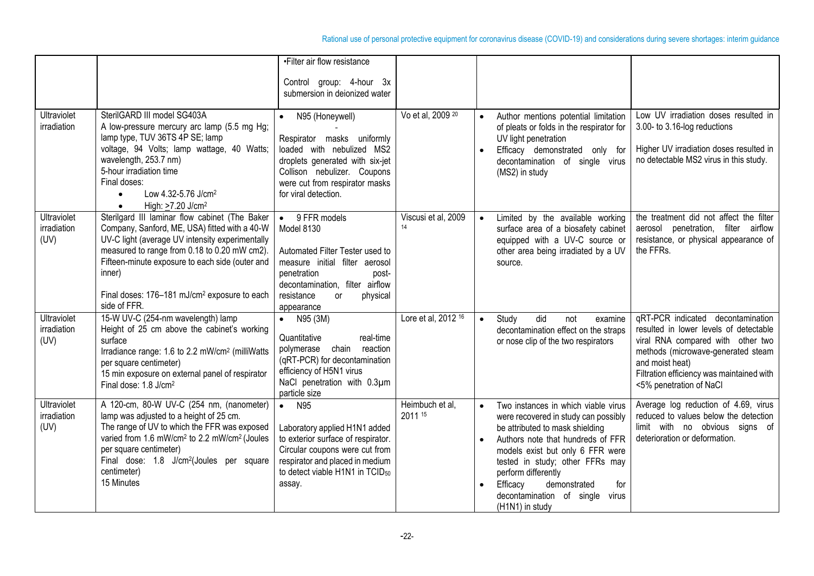|                                           |                                                                                                                                                                                                                                                                                                                                             | •Filter air flow resistance<br>Control group: 4-hour 3x<br>submersion in deionized water                                                                                                                                  |                            |                                     |                                                                                                                                                                                                                                                                                                                                            |                                                                                                                                                                                                                                                   |
|-------------------------------------------|---------------------------------------------------------------------------------------------------------------------------------------------------------------------------------------------------------------------------------------------------------------------------------------------------------------------------------------------|---------------------------------------------------------------------------------------------------------------------------------------------------------------------------------------------------------------------------|----------------------------|-------------------------------------|--------------------------------------------------------------------------------------------------------------------------------------------------------------------------------------------------------------------------------------------------------------------------------------------------------------------------------------------|---------------------------------------------------------------------------------------------------------------------------------------------------------------------------------------------------------------------------------------------------|
| <b>Ultraviolet</b><br>irradiation         | SterilGARD III model SG403A<br>A low-pressure mercury arc lamp (5.5 mg Hg;<br>lamp type, TUV 36TS 4P SE; lamp<br>voltage, 94 Volts; lamp wattage, 40 Watts;<br>wavelength, 253.7 nm)<br>5-hour irradiation time<br>Final doses:<br>Low 4.32-5.76 J/cm <sup>2</sup><br>$\bullet$<br>High: >7.20 J/cm <sup>2</sup><br>$\bullet$               | N95 (Honeywell)<br>Respirator masks uniformly<br>loaded with nebulized MS2<br>droplets generated with six-jet<br>Collison nebulizer. Coupons<br>were cut from respirator masks<br>for viral detection.                    | Vo et al, 2009 20          |                                     | Author mentions potential limitation<br>of pleats or folds in the respirator for<br>UV light penetration<br>Efficacy demonstrated only for<br>decontamination of single virus<br>(MS2) in study                                                                                                                                            | Low UV irradiation doses resulted in<br>3.00- to 3.16-log reductions<br>Higher UV irradiation doses resulted in<br>no detectable MS2 virus in this study.                                                                                         |
| <b>Ultraviolet</b><br>irradiation<br>(UV) | Sterilgard III laminar flow cabinet (The Baker<br>Company, Sanford, ME, USA) fitted with a 40-W<br>UV-C light (average UV intensity experimentally<br>measured to range from 0.18 to 0.20 mW cm2).<br>Fifteen-minute exposure to each side (outer and<br>inner)<br>Final doses: 176-181 mJ/cm <sup>2</sup> exposure to each<br>side of FFR. | $\bullet$ 9 FFR models<br>Model 8130<br>Automated Filter Tester used to<br>measure initial filter aerosol<br>penetration<br>post-<br>decontamination, filter airflow<br>resistance<br>physical<br><b>or</b><br>appearance | Viscusi et al, 2009<br>14  |                                     | Limited by the available working<br>surface area of a biosafety cabinet<br>equipped with a UV-C source or<br>other area being irradiated by a UV<br>source.                                                                                                                                                                                | the treatment did not affect the filter<br>aerosol penetration, filter airflow<br>resistance, or physical appearance of<br>the FFRs.                                                                                                              |
| Ultraviolet<br>irradiation<br>(UV)        | 15-W UV-C (254-nm wavelength) lamp<br>Height of 25 cm above the cabinet's working<br>surface<br>Irradiance range: 1.6 to 2.2 mW/cm <sup>2</sup> (milliWatts<br>per square centimeter)<br>15 min exposure on external panel of respirator<br>Final dose: 1.8 J/cm <sup>2</sup>                                                               | • $N95 (3M)$<br>Quantitative<br>real-time<br>chain<br>reaction<br>polymerase<br>(qRT-PCR) for decontamination<br>efficiency of H5N1 virus<br>NaCl penetration with 0.3µm<br>particle size                                 | Lore et al, 2012 16        |                                     | Study<br>did<br>not<br>examine<br>decontamination effect on the straps<br>or nose clip of the two respirators                                                                                                                                                                                                                              | qRT-PCR indicated decontamination<br>resulted in lower levels of detectable<br>viral RNA compared with other two<br>methods (microwave-generated steam<br>and moist heat)<br>Filtration efficiency was maintained with<br><5% penetration of NaCl |
| <b>Ultraviolet</b><br>irradiation<br>(UV) | A 120-cm, 80-W UV-C (254 nm, (nanometer)<br>lamp was adjusted to a height of 25 cm.<br>The range of UV to which the FFR was exposed<br>varied from 1.6 mW/cm <sup>2</sup> to 2.2 mW/cm <sup>2</sup> (Joules<br>per square centimeter)<br>Final dose: 1.8 J/cm <sup>2</sup> (Joules per square<br>centimeter)<br>15 Minutes                  | N95<br>$\bullet$<br>Laboratory applied H1N1 added<br>to exterior surface of respirator.<br>Circular coupons were cut from<br>respirator and placed in medium<br>to detect viable H1N1 in TCID <sub>50</sub><br>assay.     | Heimbuch et al,<br>2011 15 | $\bullet$<br>$\bullet$<br>$\bullet$ | Two instances in which viable virus<br>were recovered in study can possibly<br>be attributed to mask shielding<br>Authors note that hundreds of FFR<br>models exist but only 6 FFR were<br>tested in study; other FFRs may<br>perform differently<br>demonstrated<br>Efficacy<br>for<br>decontamination of single virus<br>(H1N1) in study | Average log reduction of 4.69, virus<br>reduced to values below the detection<br>limit with no obvious signs of<br>deterioration or deformation.                                                                                                  |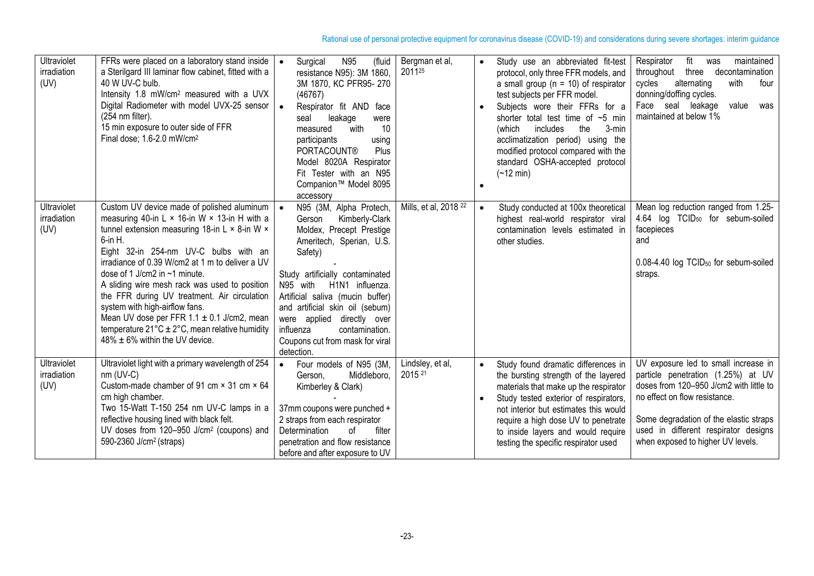| Ultraviolet<br>irradiation<br>(UV) | FFRs were placed on a laboratory stand inside<br>a Sterilgard III laminar flow cabinet, fitted with a<br>40 W UV-C bulb.<br>Intensity 1.8 mW/cm <sup>2</sup> measured with a UVX<br>Digital Radiometer with model UVX-25 sensor<br>(254 nm filter).<br>15 min exposure to outer side of FFR<br>Final dose; 1.6-2.0 mW/cm <sup>2</sup>                                                                                                                                                                                                                                                         | N95<br>(fluid<br>Surgical<br>resistance N95): 3M 1860,<br>3M 1870, KC PFR95-270<br>(46767)<br>Respirator fit AND face<br>leakage<br>seal<br>were<br>10<br>with<br>measured<br>participants<br>using<br><b>PORTACOUNT®</b><br>Plus<br>Model 8020A Respirator<br>Fit Tester with an N95<br>Companion™ Model 8095<br>accessory                                                   | Bergman et al,<br>201125         | $\bullet$<br>$\bullet$ | Study use an abbreviated fit-test<br>protocol, only three FFR models, and<br>a small group ( $n = 10$ ) of respirator<br>test subjects per FFR model.<br>Subjects wore their FFRs for a<br>shorter total test time of $~5$ min<br>(which<br>includes<br>the<br>3-min<br>acclimatization period) using the<br>modified protocol compared with the<br>standard OSHA-accepted protocol<br>$(-12 \text{ min})$ | Respirator<br>fit<br>maintained<br>was<br>three<br>decontamination<br>throughout<br>cycles<br>alternating<br>four<br>with<br>donning/doffing cycles.<br>Face seal leakage<br>value<br>was<br>maintained at below 1%                                                           |
|------------------------------------|-----------------------------------------------------------------------------------------------------------------------------------------------------------------------------------------------------------------------------------------------------------------------------------------------------------------------------------------------------------------------------------------------------------------------------------------------------------------------------------------------------------------------------------------------------------------------------------------------|-------------------------------------------------------------------------------------------------------------------------------------------------------------------------------------------------------------------------------------------------------------------------------------------------------------------------------------------------------------------------------|----------------------------------|------------------------|------------------------------------------------------------------------------------------------------------------------------------------------------------------------------------------------------------------------------------------------------------------------------------------------------------------------------------------------------------------------------------------------------------|-------------------------------------------------------------------------------------------------------------------------------------------------------------------------------------------------------------------------------------------------------------------------------|
| Ultraviolet<br>irradiation<br>(UV) | Custom UV device made of polished aluminum<br>measuring 40-in L $\times$ 16-in W $\times$ 13-in H with a<br>tunnel extension measuring 18-in L × 8-in W ×<br>6-in H.<br>Eight 32-in 254-nm UV-C bulbs with an<br>irradiance of 0.39 W/cm2 at 1 m to deliver a UV<br>dose of 1 J/cm2 in ~1 minute.<br>A sliding wire mesh rack was used to position<br>the FFR during UV treatment. Air circulation<br>system with high-airflow fans.<br>Mean UV dose per FFR $1.1 \pm 0.1$ J/cm2, mean<br>temperature $21^{\circ}C \pm 2^{\circ}C$ , mean relative humidity<br>48% ± 6% within the UV device. | N95 (3M, Alpha Protech,<br>Kimberly-Clark<br>Gerson<br>Moldex, Precept Prestige<br>Ameritech, Sperian, U.S.<br>Safety)<br>Study artificially contaminated<br>N95 with<br>H1N1 influenza.<br>Artificial saliva (mucin buffer)<br>and artificial skin oil (sebum)<br>were applied directly over<br>influenza<br>contamination.<br>Coupons cut from mask for viral<br>detection. | Mills, et al, 2018 <sup>22</sup> | $\bullet$              | Study conducted at 100x theoretical<br>highest real-world respirator viral<br>contamination levels estimated in<br>other studies.                                                                                                                                                                                                                                                                          | Mean log reduction ranged from 1.25-<br>4.64 log TCID <sub>50</sub> for sebum-soiled<br>facepieces<br>and<br>0.08-4.40 log TCID <sub>50</sub> for sebum-soiled<br>straps.                                                                                                     |
| Ultraviolet<br>irradiation<br>(UV) | Ultraviolet light with a primary wavelength of 254<br>$nm$ (UV-C)<br>Custom-made chamber of 91 cm × 31 cm × 64<br>cm high chamber.<br>Two 15-Watt T-150 254 nm UV-C lamps in a<br>reflective housing lined with black felt.<br>UV doses from 120-950 J/cm <sup>2</sup> (coupons) and<br>590-2360 J/cm <sup>2</sup> (straps)                                                                                                                                                                                                                                                                   | Four models of N95 (3M,<br>Middleboro,<br>Gerson,<br>Kimberley & Clark)<br>37mm coupons were punched +<br>2 straps from each respirator<br>Determination<br>filter<br>0f<br>penetration and flow resistance<br>before and after exposure to UV                                                                                                                                | Lindsley, et al,<br>2015 21      | $\bullet$              | Study found dramatic differences in<br>the bursting strength of the layered<br>materials that make up the respirator<br>Study tested exterior of respirators,<br>not interior but estimates this would<br>require a high dose UV to penetrate<br>to inside layers and would require<br>testing the specific respirator used                                                                                | UV exposure led to small increase in<br>particle penetration (1.25%) at UV<br>doses from 120-950 J/cm2 with little to<br>no effect on flow resistance.<br>Some degradation of the elastic straps<br>used in different respirator designs<br>when exposed to higher UV levels. |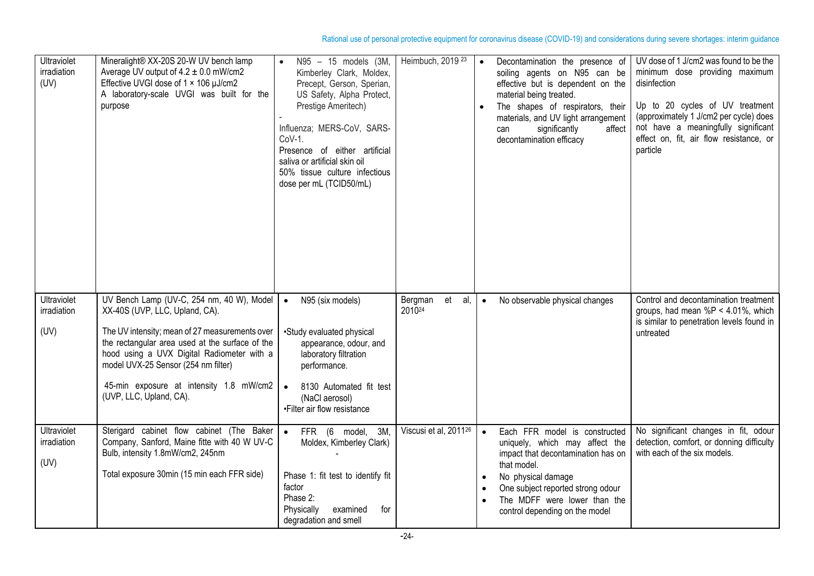| Ultraviolet<br>irradiation<br>(UV) | Mineralight® XX-20S 20-W UV bench lamp<br>Average UV output of $4.2 \pm 0.0$ mW/cm2<br>Effective UVGI dose of 1 × 106 µJ/cm2<br>A laboratory-scale UVGI was built for the<br>purpose                                                                                                                                                        | N95 - 15 models (3M,<br>Kimberley Clark, Moldex,<br>Precept, Gerson, Sperian,<br>US Safety, Alpha Protect,<br>Prestige Ameritech)<br>Influenza; MERS-CoV, SARS-<br>$CoV-1$ .<br>Presence of either artificial<br>saliva or artificial skin oil<br>50% tissue culture infectious<br>dose per mL (TCID50/mL) | Heimbuch, 2019 23                 | $\bullet$ | Decontamination the presence of<br>soiling agents on N95 can be<br>effective but is dependent on the<br>material being treated.<br>The shapes of respirators, their<br>materials, and UV light arrangement<br>affect<br>significantly<br>can<br>decontamination efficacy | UV dose of 1 J/cm2 was found to be the<br>minimum dose providing maximum<br>disinfection<br>Up to 20 cycles of UV treatment<br>(approximately 1 J/cm2 per cycle) does<br>not have a meaningfully significant<br>effect on, fit, air flow resistance, or<br>particle |
|------------------------------------|---------------------------------------------------------------------------------------------------------------------------------------------------------------------------------------------------------------------------------------------------------------------------------------------------------------------------------------------|------------------------------------------------------------------------------------------------------------------------------------------------------------------------------------------------------------------------------------------------------------------------------------------------------------|-----------------------------------|-----------|--------------------------------------------------------------------------------------------------------------------------------------------------------------------------------------------------------------------------------------------------------------------------|---------------------------------------------------------------------------------------------------------------------------------------------------------------------------------------------------------------------------------------------------------------------|
| Ultraviolet<br>irradiation<br>(UV) | UV Bench Lamp (UV-C, 254 nm, 40 W), Model<br>XX-40S (UVP, LLC, Upland, CA).<br>The UV intensity; mean of 27 measurements over<br>the rectangular area used at the surface of the<br>hood using a UVX Digital Radiometer with a<br>model UVX-25 Sensor (254 nm filter)<br>45-min exposure at intensity 1.8 mW/cm2<br>(UVP, LLC, Upland, CA). | N95 (six models)<br>$\bullet$<br>•Study evaluated physical<br>appearance, odour, and<br>laboratory filtration<br>performance.<br>8130 Automated fit test<br>$\bullet$<br>(NaCl aerosol)<br>•Filter air flow resistance                                                                                     | Bergman<br>et<br>al,<br>201024    | $\bullet$ | No observable physical changes                                                                                                                                                                                                                                           | Control and decontamination treatment<br>groups, had mean $%P < 4.01%$ , which<br>is similar to penetration levels found in<br>untreated                                                                                                                            |
| Ultraviolet<br>irradiation<br>(UV) | Sterigard cabinet flow cabinet (The Baker<br>Company, Sanford, Maine fitte with 40 W UV-C<br>Bulb, intensity 1.8mW/cm2, 245nm<br>Total exposure 30min (15 min each FFR side)                                                                                                                                                                | FFR (6 model, 3M,<br>$\bullet$<br>Moldex, Kimberley Clark)<br>Phase 1: fit test to identify fit<br>factor<br>Phase 2:<br>Physically<br>for<br>examined<br>degradation and smell                                                                                                                            | Viscusi et al, 2011 <sup>26</sup> | $\bullet$ | Each FFR model is constructed<br>uniquely, which may affect the<br>impact that decontamination has on<br>that model.<br>No physical damage<br>One subject reported strong odour<br>The MDFF were lower than the<br>control depending on the model                        | No significant changes in fit, odour<br>detection, comfort, or donning difficulty<br>with each of the six models.                                                                                                                                                   |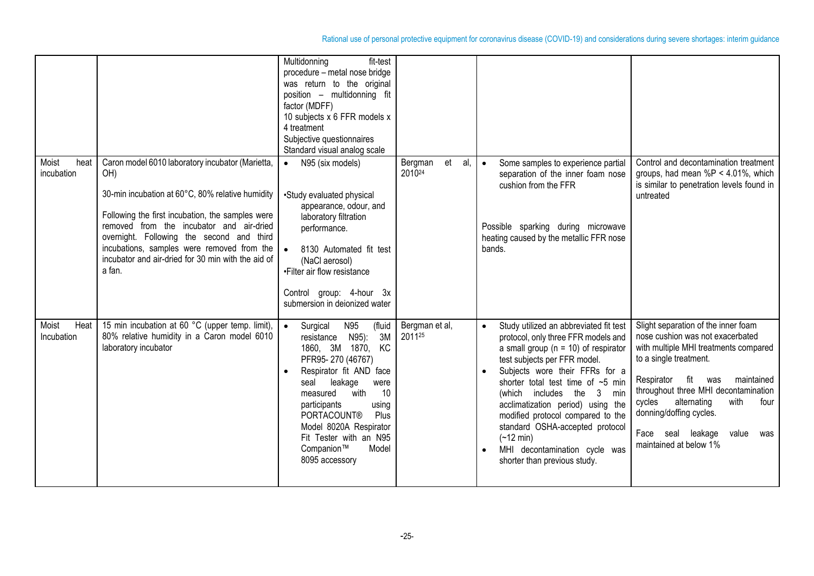|                             |                                                                                                                                                                                                                                                                                                                                                                        | Multidonning<br>fit-test<br>procedure - metal nose bridge<br>was return to the original<br>position - multidonning fit<br>factor (MDFF)<br>10 subjects x 6 FFR models x<br>4 treatment<br>Subjective questionnaires<br>Standard visual analog scale                                                                                               |                                |                                                                                                                                                                                                                                                                                                                                                                                                                                                                                          |                                                                                                                                                                                                                                                                                                                                                           |
|-----------------------------|------------------------------------------------------------------------------------------------------------------------------------------------------------------------------------------------------------------------------------------------------------------------------------------------------------------------------------------------------------------------|---------------------------------------------------------------------------------------------------------------------------------------------------------------------------------------------------------------------------------------------------------------------------------------------------------------------------------------------------|--------------------------------|------------------------------------------------------------------------------------------------------------------------------------------------------------------------------------------------------------------------------------------------------------------------------------------------------------------------------------------------------------------------------------------------------------------------------------------------------------------------------------------|-----------------------------------------------------------------------------------------------------------------------------------------------------------------------------------------------------------------------------------------------------------------------------------------------------------------------------------------------------------|
| Moist<br>heat<br>incubation | Caron model 6010 laboratory incubator (Marietta,<br>OH)<br>30-min incubation at 60°C, 80% relative humidity<br>Following the first incubation, the samples were<br>removed from the incubator and air-dried<br>overnight. Following the second and third<br>incubations, samples were removed from the<br>incubator and air-dried for 30 min with the aid of<br>a fan. | N95 (six models)<br>$\bullet$<br>•Study evaluated physical<br>appearance, odour, and<br>laboratory filtration<br>performance.<br>$\bullet$<br>8130 Automated fit test<br>(NaCl aerosol)<br>•Filter air flow resistance<br>Control group: 4-hour 3x<br>submersion in deionized water                                                               | et<br>al.<br>Bergman<br>201024 | Some samples to experience partial<br>$\bullet$<br>separation of the inner foam nose<br>cushion from the FFR<br>Possible sparking during microwave<br>heating caused by the metallic FFR nose<br>bands.                                                                                                                                                                                                                                                                                  | Control and decontamination treatment<br>groups, had mean $%P < 4.01%$ , which<br>is similar to penetration levels found in<br>untreated                                                                                                                                                                                                                  |
| Heat<br>Moist<br>Incubation | 15 min incubation at 60 °C (upper temp. limit),<br>80% relative humidity in a Caron model 6010<br>laboratory incubator                                                                                                                                                                                                                                                 | N95<br>(fluid<br>$\bullet$<br>Surgical<br>3M<br>N95):<br>resistance<br>1860, 3M 1870, KC<br>PFR95-270 (46767)<br>Respirator fit AND face<br>leakage<br>seal<br>were<br>10<br>with<br>measured<br>participants<br>using<br><b>PORTACOUNT®</b><br>Plus<br>Model 8020A Respirator<br>Fit Tester with an N95<br>Model<br>Companion™<br>8095 accessory | Bergman et al,<br>201125       | Study utilized an abbreviated fit test<br>$\bullet$<br>protocol, only three FFR models and<br>a small group ( $n = 10$ ) of respirator<br>test subjects per FFR model.<br>Subjects wore their FFRs for a<br>shorter total test time of $\sim$ 5 min<br>(which includes the<br>3 min<br>acclimatization period) using the<br>modified protocol compared to the<br>standard OSHA-accepted protocol<br>$(-12 \text{ min})$<br>MHI decontamination cycle was<br>shorter than previous study. | Slight separation of the inner foam<br>nose cushion was not exacerbated<br>with multiple MHI treatments compared<br>to a single treatment.<br>Respirator fit was<br>maintained<br>throughout three MHI decontamination<br>cycles<br>alternating<br>with<br>four<br>donning/doffing cycles.<br>Face seal leakage<br>value<br>was<br>maintained at below 1% |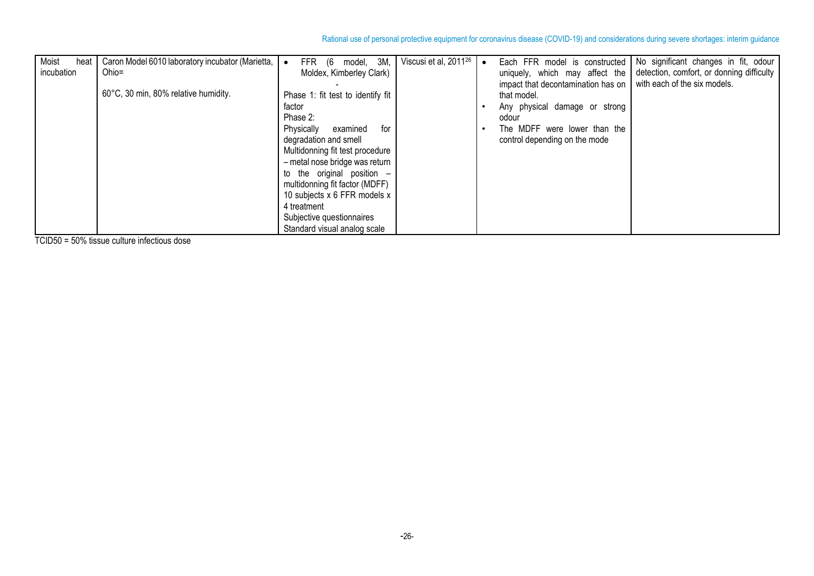| Moist<br>heat<br>incubation | Caron Model 6010 laboratory incubator (Marietta,<br>Ohio= | model, 3M,<br>FFR (6<br>Moldex, Kimberley Clark) | Viscusi et al, 2011 <sup>26</sup> | Each FFR model is constructed<br>uniquely, which may affect the | No significant changes in fit, odour<br>detection, comfort, or donning difficulty |
|-----------------------------|-----------------------------------------------------------|--------------------------------------------------|-----------------------------------|-----------------------------------------------------------------|-----------------------------------------------------------------------------------|
|                             |                                                           |                                                  |                                   | impact that decontamination has on                              | with each of the six models.                                                      |
|                             | 60°C, 30 min, 80% relative humidity.                      | Phase 1: fit test to identify fit                |                                   | that model.                                                     |                                                                                   |
|                             |                                                           | factor                                           |                                   | Any physical damage or strong                                   |                                                                                   |
|                             |                                                           | Phase 2:                                         |                                   | odour                                                           |                                                                                   |
|                             |                                                           | Physically<br>for<br>examined                    |                                   | The MDFF were lower than the                                    |                                                                                   |
|                             |                                                           | degradation and smell                            |                                   | control depending on the mode                                   |                                                                                   |
|                             |                                                           | Multidonning fit test procedure                  |                                   |                                                                 |                                                                                   |
|                             |                                                           | - metal nose bridge was return                   |                                   |                                                                 |                                                                                   |
|                             |                                                           | to the original position $-$                     |                                   |                                                                 |                                                                                   |
|                             |                                                           | multidonning fit factor (MDFF)                   |                                   |                                                                 |                                                                                   |
|                             |                                                           | 10 subjects x 6 FFR models x                     |                                   |                                                                 |                                                                                   |
|                             |                                                           | 4 treatment                                      |                                   |                                                                 |                                                                                   |
|                             |                                                           | Subjective questionnaires                        |                                   |                                                                 |                                                                                   |
|                             |                                                           | Standard visual analog scale                     |                                   |                                                                 |                                                                                   |

TCID50 = 50% tissue culture infectious dose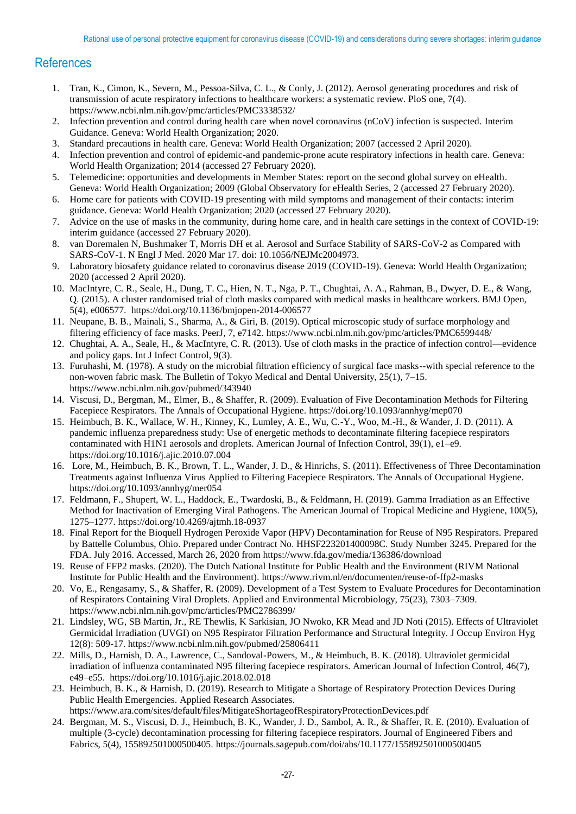## **References**

- 1. Tran, K., Cimon, K., Severn, M., Pessoa-Silva, C. L., & Conly, J. (2012). Aerosol generating procedures and risk of transmission of acute respiratory infections to healthcare workers: a systematic review. PloS one, 7(4). <https://www.ncbi.nlm.nih.gov/pmc/articles/PMC3338532/>
- 2. [Infection prevention and control during health care when novel coronavirus \(nCoV\) infection is suspected.](https://www.who.int/publications-detail/infection-prevention-and-control-during-health-care-when-novel-coronavirus-(ncov)-infection-is-suspected-20200125) Interim Guidance. Geneva: World Health Organization; 2020.
- 3. [Standard precautions in health care.](https://euc-word-edit.officeapps.live.com/we/1.%09https:/www.who.int/docs/default-source/documents/health-topics/standard-precautions-in-health-care.pdf?sfvrsn=7c453df0_2) Geneva: World Health Organization; 2007 (accessed 2 April 2020).
- 4. [Infection prevention and control of epidemic-and pandemic-prone acute respiratory infections in health care.](https://apps.who.int/iris/bitstream/handle/10665/112656/9789241507134_eng.pdf;jsessionid=BE25F8EAA4F631126E78390906050313?sequence=1) Geneva: World Health Organization; 2014 (accessed 27 February 2020).
- 5. [Telemedicine: opportunities and developments in Member States: report on the second global survey on eHealth.](https://apps.who.int/iris/handle/10665/44497) Geneva: World Health Organization; 2009 (Global Observatory for eHealth Series, 2 (accessed 27 February 2020).
- 6. [Home care for patients with COVID-19 presenting with mild symptoms and management of their contacts: interim](https://www.who.int/publications-detail/home-care-for-patients-with-suspected-novel-coronavirus-(ncov)-infection-presenting-with-mild-symptoms-and-management-of-contacts)  [guidance.](https://www.who.int/publications-detail/home-care-for-patients-with-suspected-novel-coronavirus-(ncov)-infection-presenting-with-mild-symptoms-and-management-of-contacts) Geneva: World Health Organization; 2020 (accessed 27 February 2020).
- 7. [Advice on the use of masks in the community, during home care, and in health care settings in the context of COVID-19:](https://www.who.int/publications-detail/advice-on-the-use-of-masks-in-the-community-during-home-care-and-in-healthcare-settings-in-the-context-of-the-novel-coronavirus-(2019-ncov)-outbreak) interim guidance (accessed 27 February 2020).
- 8. van Doremalen N, Bushmaker T, Morris DH et al. Aerosol and Surface Stability of SARS-CoV-2 as Compared with SARS-CoV-1. N Engl J Med. 2020 Mar 17. doi: 10.1056/NEJMc2004973.
- 9. [Laboratory biosafety guidance related to coronavirus disease 2019 \(COVID-19\).](https://euc-word-edit.officeapps.live.com/we/Laboratory%20biosafety%20guidance%20related%20to%20coronavirus%20disease%202019%20(COVID-19)) Geneva: World Health Organization; 2020 (accessed 2 April 2020).
- 10. MacIntyre, C. R., Seale, H., Dung, T. C., Hien, N. T., Nga, P. T., Chughtai, A. A., Rahman, B., Dwyer, D. E., & Wang, Q. (2015). A cluster randomised trial of cloth masks compared with medical masks in healthcare workers. BMJ Open, 5(4), e006577.<https://doi.org/10.1136/bmjopen-2014-006577>
- 11. Neupane, B. B., Mainali, S., Sharma, A., & Giri, B. (2019). Optical microscopic study of surface morphology and filtering efficiency of face masks. PeerJ, 7, e7142.<https://www.ncbi.nlm.nih.gov/pmc/articles/PMC6599448/>
- 12. Chughtai, A. A., Seale, H., & MacIntyre, C. R. (2013). Use of cloth masks in the practice of infection control—evidence and policy gaps. Int J Infect Control, 9(3).
- 13. Furuhashi, M. (1978). A study on the microbial filtration efficiency of surgical face masks--with special reference to the non-woven fabric mask. The Bulletin of Tokyo Medical and Dental University, 25(1), 7–15. <https://www.ncbi.nlm.nih.gov/pubmed/343940>
- 14. Viscusi, D., Bergman, M., Elmer, B., & Shaffer, R. (2009). Evaluation of Five Decontamination Methods for Filtering Facepiece Respirators. The Annals of Occupational Hygiene.<https://doi.org/10.1093/annhyg/mep070>
- 15. Heimbuch, B. K., Wallace, W. H., Kinney, K., Lumley, A. E., Wu, C.-Y., Woo, M.-H., & Wander, J. D. (2011). A pandemic influenza preparedness study: Use of energetic methods to decontaminate filtering facepiece respirators contaminated with H1N1 aerosols and droplets. American Journal of Infection Control, 39(1), e1–e9. <https://doi.org/10.1016/j.ajic.2010.07.004>
- 16. Lore, M., Heimbuch, B. K., Brown, T. L., Wander, J. D., & Hinrichs, S. (2011). Effectiveness of Three Decontamination Treatments against Influenza Virus Applied to Filtering Facepiece Respirators. The Annals of Occupational Hygiene. <https://doi.org/10.1093/annhyg/mer054>
- 17. Feldmann, F., Shupert, W. L., Haddock, E., Twardoski, B., & Feldmann, H. (2019). Gamma Irradiation as an Effective Method for Inactivation of Emerging Viral Pathogens. The American Journal of Tropical Medicine and Hygiene, 100(5), 1275–1277.<https://doi.org/10.4269/ajtmh.18-0937>
- 18. Final Report for the Bioquell Hydrogen Peroxide Vapor (HPV) Decontamination for Reuse of N95 Respirators. Prepared by Battelle Columbus, Ohio. Prepared under Contract No. HHSF223201400098C. Study Number 3245. Prepared for the FDA. July 2016. Accessed, March 26, 2020 from<https://www.fda.gov/media/136386/download>
- 19. Reuse of FFP2 masks. (2020). The Dutch National Institute for Public Health and the Environment (RIVM National Institute for Public Health and the Environment).<https://www.rivm.nl/en/documenten/reuse-of-ffp2-masks>
- 20. Vo, E., Rengasamy, S., & Shaffer, R. (2009). Development of a Test System to Evaluate Procedures for Decontamination of Respirators Containing Viral Droplets. Applied and Environmental Microbiology, 75(23), 7303–7309. <https://www.ncbi.nlm.nih.gov/pmc/articles/PMC2786399/>
- 21. Lindsley, WG, SB Martin, Jr., RE Thewlis, K Sarkisian, JO Nwoko, KR Mead and JD Noti (2015). Effects of Ultraviolet Germicidal Irradiation (UVGI) on N95 Respirator Filtration Performance and Structural Integrity. J Occup Environ Hyg 12(8): 509-17.<https://www.ncbi.nlm.nih.gov/pubmed/25806411>
- 22. Mills, D., Harnish, D. A., Lawrence, C., Sandoval-Powers, M., & Heimbuch, B. K. (2018). Ultraviolet germicidal irradiation of influenza contaminated N95 filtering facepiece respirators. American Journal of Infection Control, 46(7), e49–e55. <https://doi.org/10.1016/j.ajic.2018.02.018>
- 23. Heimbuch, B. K., & Harnish, D. (2019). Research to Mitigate a Shortage of Respiratory Protection Devices During Public Health Emergencies. Applied Research Associates. <https://www.ara.com/sites/default/files/MitigateShortageofRespiratoryProtectionDevices.pdf>
- 24. Bergman, M. S., Viscusi, D. J., Heimbuch, B. K., Wander, J. D., Sambol, A. R., & Shaffer, R. E. (2010). Evaluation of multiple (3-cycle) decontamination processing for filtering facepiece respirators. Journal of Engineered Fibers and Fabrics, 5(4), 155892501000500405.<https://journals.sagepub.com/doi/abs/10.1177/155892501000500405>